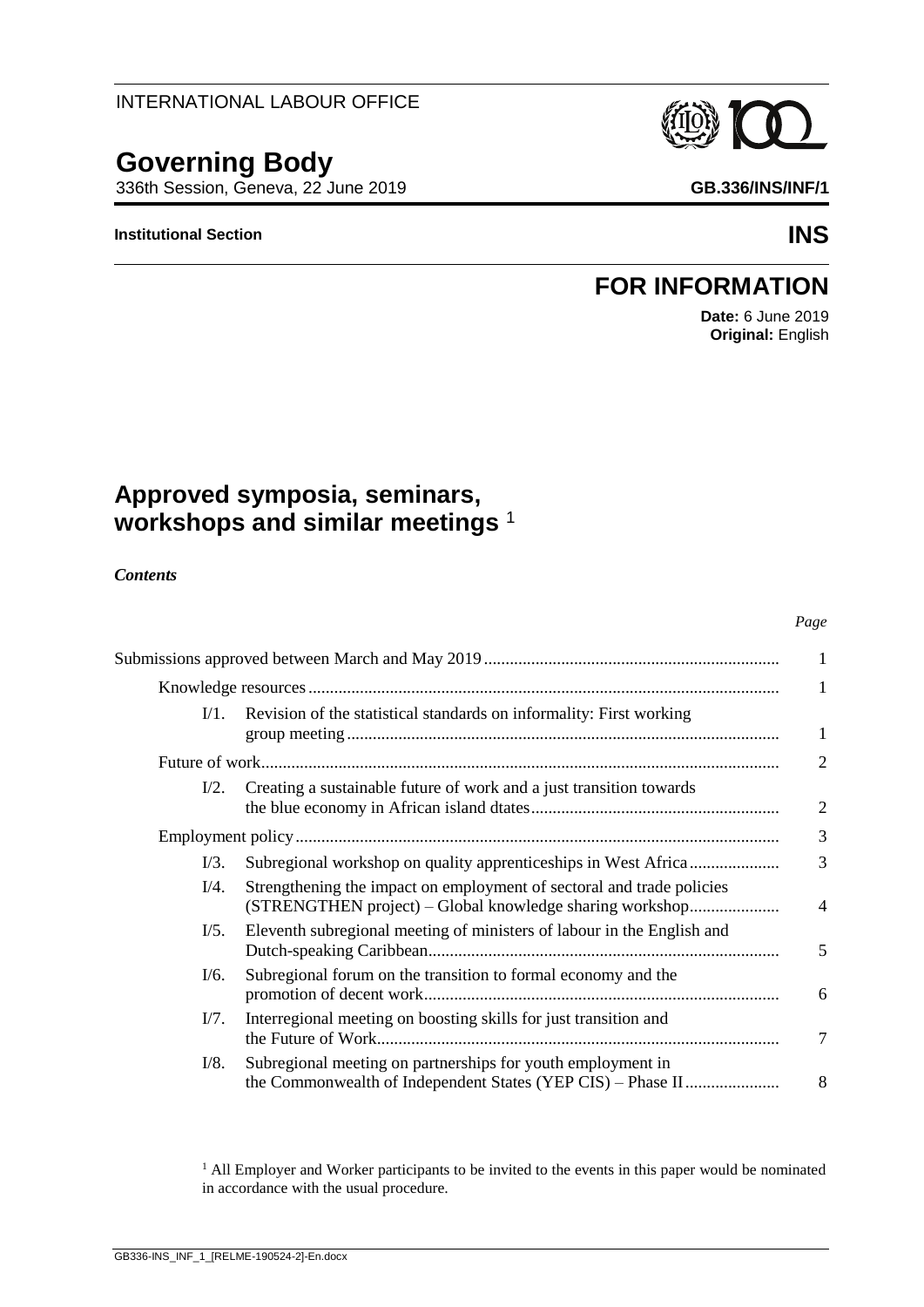#### *Contents*

|                 |                                                                                                                                   | 1              |
|-----------------|-----------------------------------------------------------------------------------------------------------------------------------|----------------|
| $V1$ .          | Revision of the statistical standards on informality: First working                                                               | 1              |
|                 |                                                                                                                                   | 2              |
| $I/2$ .         | Creating a sustainable future of work and a just transition towards                                                               | $\overline{2}$ |
|                 |                                                                                                                                   | 3              |
| V3.             |                                                                                                                                   | 3              |
| $I/4$ .         | Strengthening the impact on employment of sectoral and trade policies<br>(STRENGTHEN project) – Global knowledge sharing workshop | $\overline{4}$ |
| $\frac{1}{5}$ . | Eleventh subregional meeting of ministers of labour in the English and                                                            | 5              |
| V6.             | Subregional forum on the transition to formal economy and the                                                                     | 6              |
| V7.             | Interregional meeting on boosting skills for just transition and                                                                  | 7              |
| V8.             | Subregional meeting on partnerships for youth employment in<br>the Commonwealth of Independent States (YEP CIS) – Phase II        | 8              |
|                 |                                                                                                                                   |                |

<sup>1</sup> All Employer and Worker participants to be invited to the events in this paper would be nominated in accordance with the usual procedure.

## INTERNATIONAL LABOUR OFFICE

# **Governing Body**

336th Session, Geneva, 22 June 2019 **GB.336/INS/INF/1**

**Approved symposia, seminars,** 

**workshops and similar meetings** <sup>1</sup>

#### **Institutional Section INS**

# **FOR INFORMATION**

**Date:** 6 June 2019 **Original:** English

*Page*

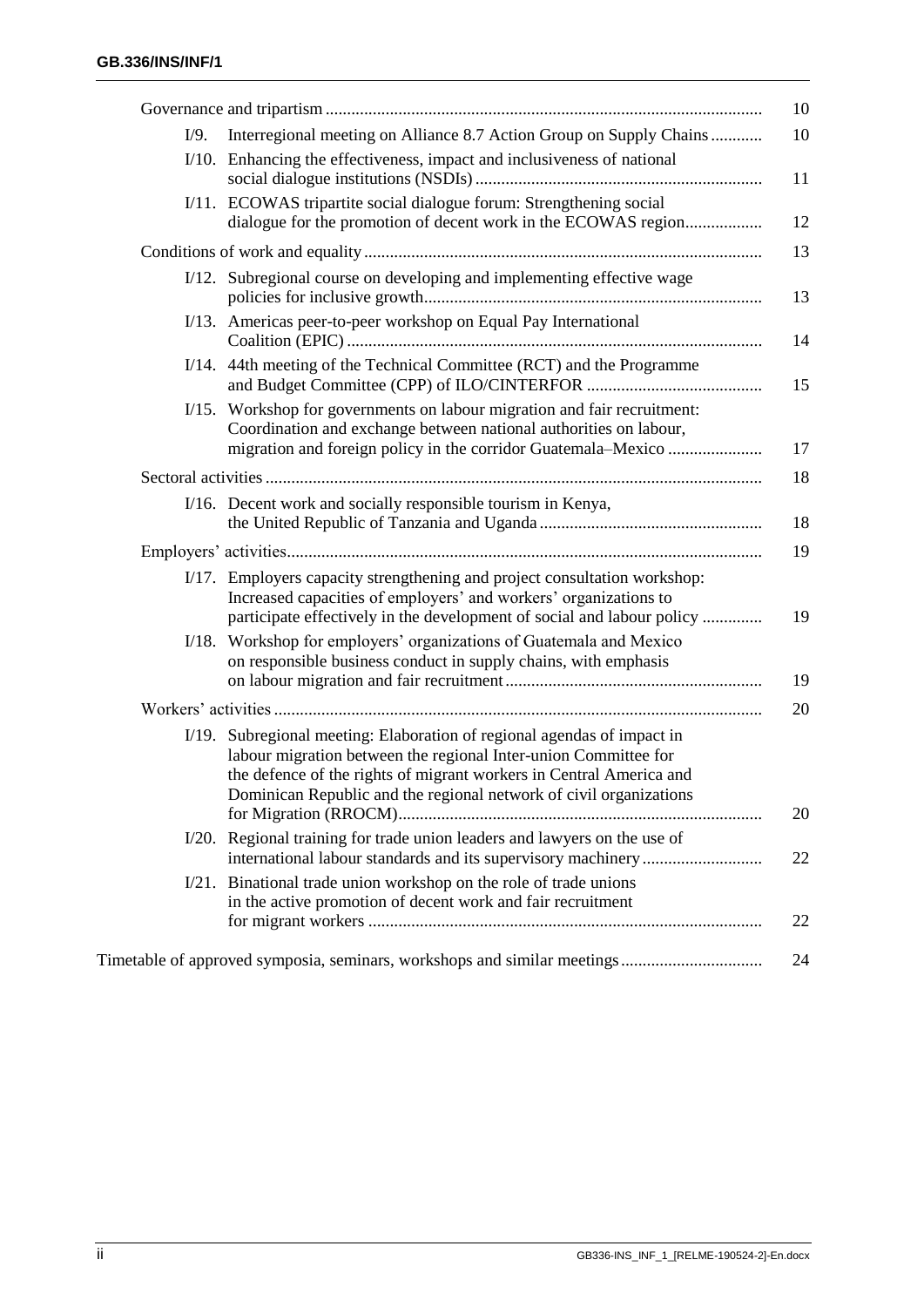| Interregional meeting on Alliance 8.7 Action Group on Supply Chains                                                                                                                                                                                                                     |
|-----------------------------------------------------------------------------------------------------------------------------------------------------------------------------------------------------------------------------------------------------------------------------------------|
| I/10. Enhancing the effectiveness, impact and inclusiveness of national                                                                                                                                                                                                                 |
| I/11. ECOWAS tripartite social dialogue forum: Strengthening social<br>dialogue for the promotion of decent work in the ECOWAS region                                                                                                                                                   |
|                                                                                                                                                                                                                                                                                         |
| I/12. Subregional course on developing and implementing effective wage                                                                                                                                                                                                                  |
| I/13. Americas peer-to-peer workshop on Equal Pay International                                                                                                                                                                                                                         |
| I/14. 44th meeting of the Technical Committee (RCT) and the Programme                                                                                                                                                                                                                   |
| I/15. Workshop for governments on labour migration and fair recruitment:<br>Coordination and exchange between national authorities on labour,                                                                                                                                           |
|                                                                                                                                                                                                                                                                                         |
| I/16. Decent work and socially responsible tourism in Kenya,                                                                                                                                                                                                                            |
|                                                                                                                                                                                                                                                                                         |
| I/17. Employers capacity strengthening and project consultation workshop:<br>Increased capacities of employers' and workers' organizations to<br>participate effectively in the development of social and labour policy                                                                 |
| I/18. Workshop for employers' organizations of Guatemala and Mexico<br>on responsible business conduct in supply chains, with emphasis                                                                                                                                                  |
|                                                                                                                                                                                                                                                                                         |
| I/19. Subregional meeting: Elaboration of regional agendas of impact in<br>labour migration between the regional Inter-union Committee for<br>the defence of the rights of migrant workers in Central America and<br>Dominican Republic and the regional network of civil organizations |
| I/20. Regional training for trade union leaders and lawyers on the use of                                                                                                                                                                                                               |
| Binational trade union workshop on the role of trade unions<br>in the active promotion of decent work and fair recruitment                                                                                                                                                              |
|                                                                                                                                                                                                                                                                                         |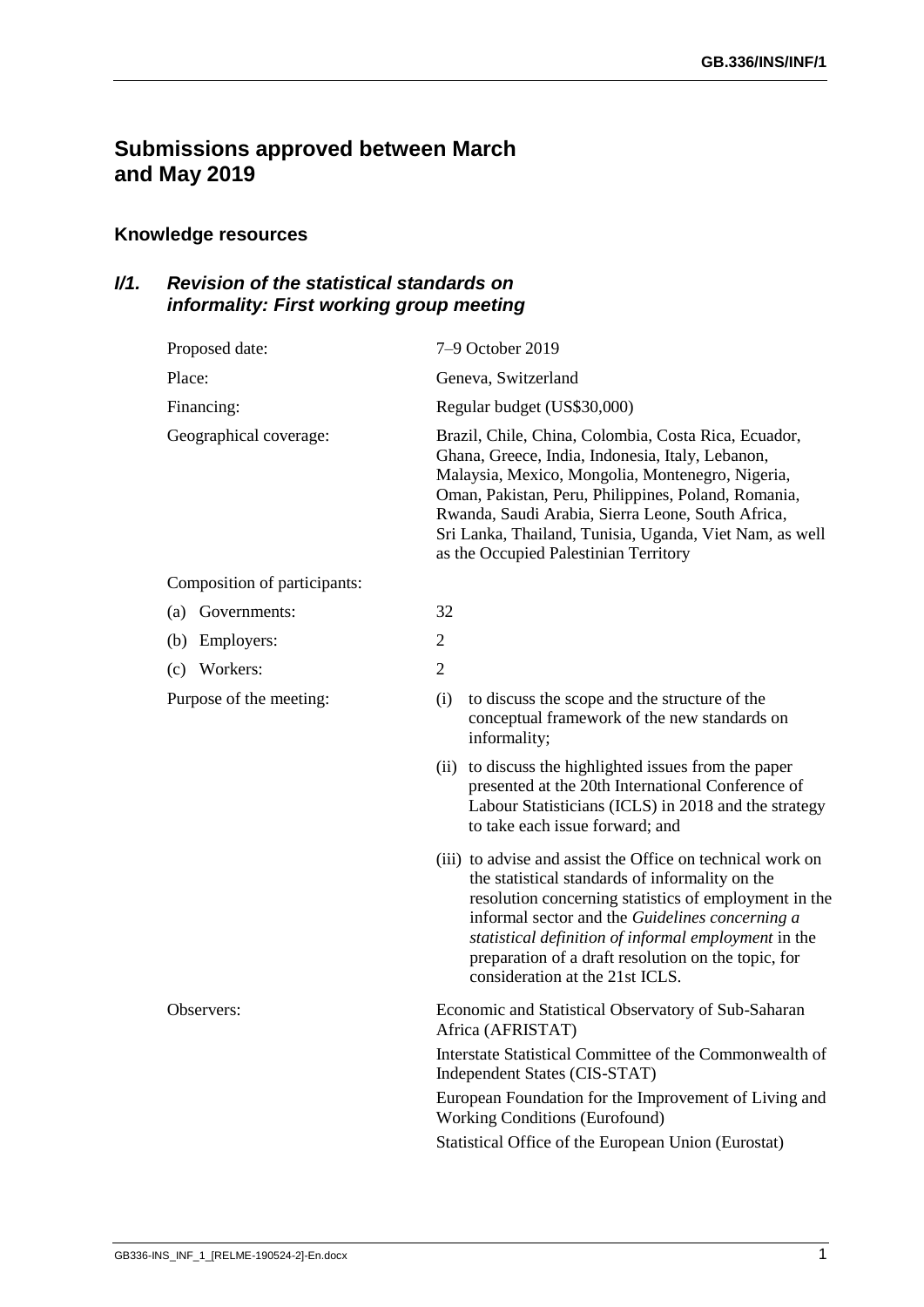# <span id="page-2-0"></span>**Submissions approved between March and May 2019**

## <span id="page-2-1"></span>**Knowledge resources**

## <span id="page-2-2"></span>*I/1. Revision of the statistical standards on informality: First working group meeting*

| Proposed date:               | 7-9 October 2019                                                                                                                                                                                                                                                                                                                                                             |
|------------------------------|------------------------------------------------------------------------------------------------------------------------------------------------------------------------------------------------------------------------------------------------------------------------------------------------------------------------------------------------------------------------------|
| Place:                       | Geneva, Switzerland                                                                                                                                                                                                                                                                                                                                                          |
| Financing:                   | Regular budget (US\$30,000)                                                                                                                                                                                                                                                                                                                                                  |
| Geographical coverage:       | Brazil, Chile, China, Colombia, Costa Rica, Ecuador,<br>Ghana, Greece, India, Indonesia, Italy, Lebanon,<br>Malaysia, Mexico, Mongolia, Montenegro, Nigeria,<br>Oman, Pakistan, Peru, Philippines, Poland, Romania,<br>Rwanda, Saudi Arabia, Sierra Leone, South Africa,<br>Sri Lanka, Thailand, Tunisia, Uganda, Viet Nam, as well<br>as the Occupied Palestinian Territory |
| Composition of participants: |                                                                                                                                                                                                                                                                                                                                                                              |
| Governments:<br>(a)          | 32                                                                                                                                                                                                                                                                                                                                                                           |
| Employers:<br>(b)            | $\overline{2}$                                                                                                                                                                                                                                                                                                                                                               |
| (c) Workers:                 | $\overline{2}$                                                                                                                                                                                                                                                                                                                                                               |
| Purpose of the meeting:      | to discuss the scope and the structure of the<br>(i)<br>conceptual framework of the new standards on<br>informality;                                                                                                                                                                                                                                                         |
|                              | (ii) to discuss the highlighted issues from the paper<br>presented at the 20th International Conference of<br>Labour Statisticians (ICLS) in 2018 and the strategy<br>to take each issue forward; and                                                                                                                                                                        |
|                              | (iii) to advise and assist the Office on technical work on<br>the statistical standards of informality on the<br>resolution concerning statistics of employment in the<br>informal sector and the Guidelines concerning a<br>statistical definition of informal employment in the<br>preparation of a draft resolution on the topic, for<br>consideration at the 21st ICLS.  |
| Observers:                   | Economic and Statistical Observatory of Sub-Saharan<br>Africa (AFRISTAT)<br>Interstate Statistical Committee of the Commonwealth of                                                                                                                                                                                                                                          |
|                              | Independent States (CIS-STAT)<br>European Foundation for the Improvement of Living and<br><b>Working Conditions (Eurofound)</b><br>Statistical Office of the European Union (Eurostat)                                                                                                                                                                                       |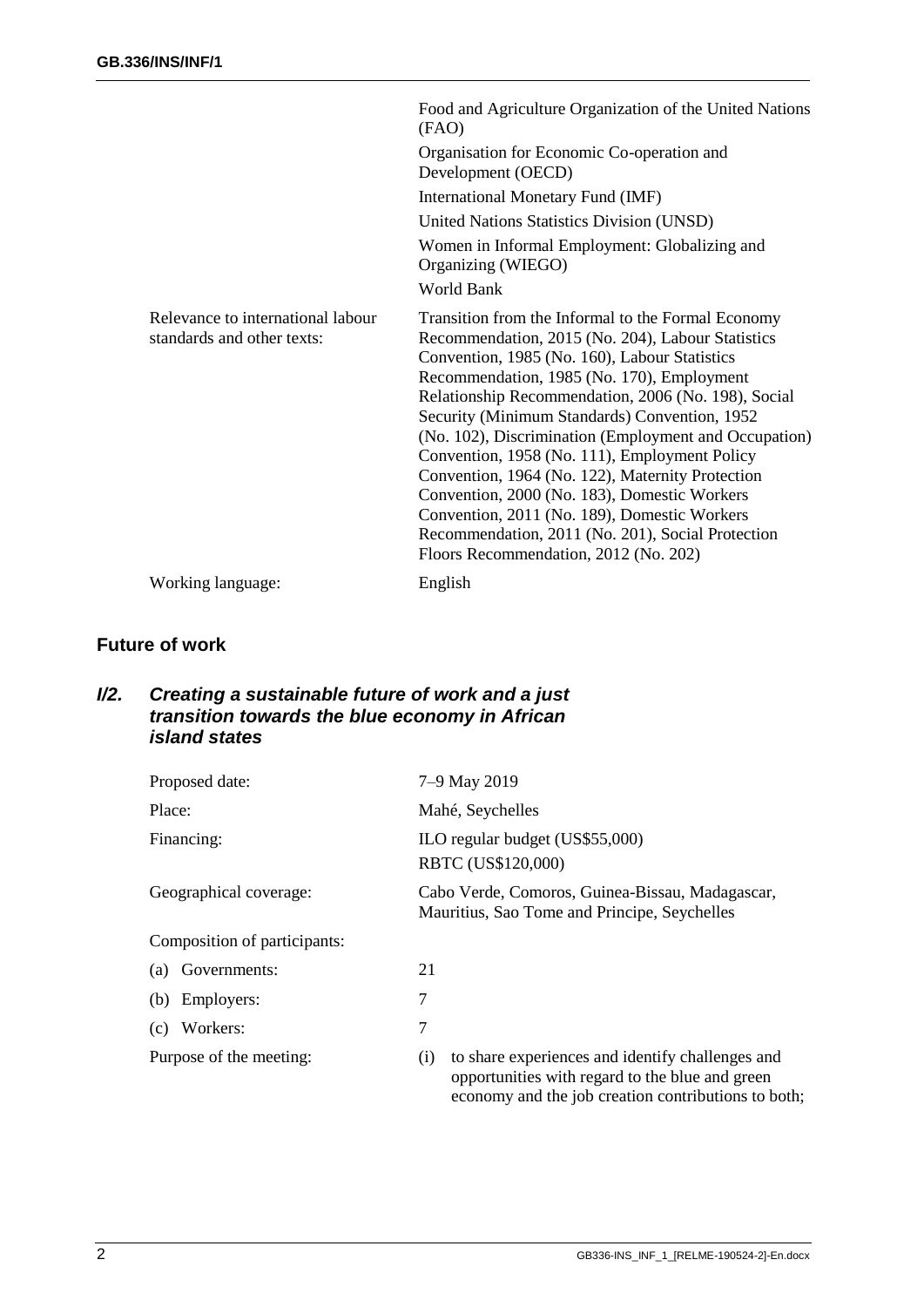|                                                                 | Food and Agriculture Organization of the United Nations<br>(FAO)                                                                                                                                                                                                                                                                                                                                                                                                                                                                                                                                                                                                           |
|-----------------------------------------------------------------|----------------------------------------------------------------------------------------------------------------------------------------------------------------------------------------------------------------------------------------------------------------------------------------------------------------------------------------------------------------------------------------------------------------------------------------------------------------------------------------------------------------------------------------------------------------------------------------------------------------------------------------------------------------------------|
|                                                                 | Organisation for Economic Co-operation and<br>Development (OECD)                                                                                                                                                                                                                                                                                                                                                                                                                                                                                                                                                                                                           |
|                                                                 | International Monetary Fund (IMF)                                                                                                                                                                                                                                                                                                                                                                                                                                                                                                                                                                                                                                          |
|                                                                 | United Nations Statistics Division (UNSD)                                                                                                                                                                                                                                                                                                                                                                                                                                                                                                                                                                                                                                  |
|                                                                 | Women in Informal Employment: Globalizing and<br>Organizing (WIEGO)                                                                                                                                                                                                                                                                                                                                                                                                                                                                                                                                                                                                        |
|                                                                 | World Bank                                                                                                                                                                                                                                                                                                                                                                                                                                                                                                                                                                                                                                                                 |
| Relevance to international labour<br>standards and other texts: | Transition from the Informal to the Formal Economy<br>Recommendation, 2015 (No. 204), Labour Statistics<br>Convention, 1985 (No. 160), Labour Statistics<br>Recommendation, 1985 (No. 170), Employment<br>Relationship Recommendation, 2006 (No. 198), Social<br>Security (Minimum Standards) Convention, 1952<br>(No. 102), Discrimination (Employment and Occupation)<br>Convention, 1958 (No. 111), Employment Policy<br>Convention, 1964 (No. 122), Maternity Protection<br>Convention, 2000 (No. 183), Domestic Workers<br>Convention, 2011 (No. 189), Domestic Workers<br>Recommendation, 2011 (No. 201), Social Protection<br>Floors Recommendation, 2012 (No. 202) |
| Working language:                                               | English                                                                                                                                                                                                                                                                                                                                                                                                                                                                                                                                                                                                                                                                    |

#### <span id="page-3-0"></span>**Future of work**

#### <span id="page-3-1"></span>*I/2. Creating a sustainable future of work and a just transition towards the blue economy in African island states*

| Proposed date:               | 7-9 May 2019                                                                                                                                                      |
|------------------------------|-------------------------------------------------------------------------------------------------------------------------------------------------------------------|
| Place:                       | Mahé, Seychelles                                                                                                                                                  |
| Financing:                   | ILO regular budget (US\$55,000)<br>RBTC (US\$120,000)                                                                                                             |
| Geographical coverage:       | Cabo Verde, Comoros, Guinea-Bissau, Madagascar,<br>Mauritius, Sao Tome and Principe, Seychelles                                                                   |
| Composition of participants: |                                                                                                                                                                   |
| (a) Governments:             | 21                                                                                                                                                                |
| (b) Employers:               | 7                                                                                                                                                                 |
| Workers:<br>(c)              | 7                                                                                                                                                                 |
| Purpose of the meeting:      | to share experiences and identify challenges and<br>(i)<br>opportunities with regard to the blue and green<br>economy and the job creation contributions to both; |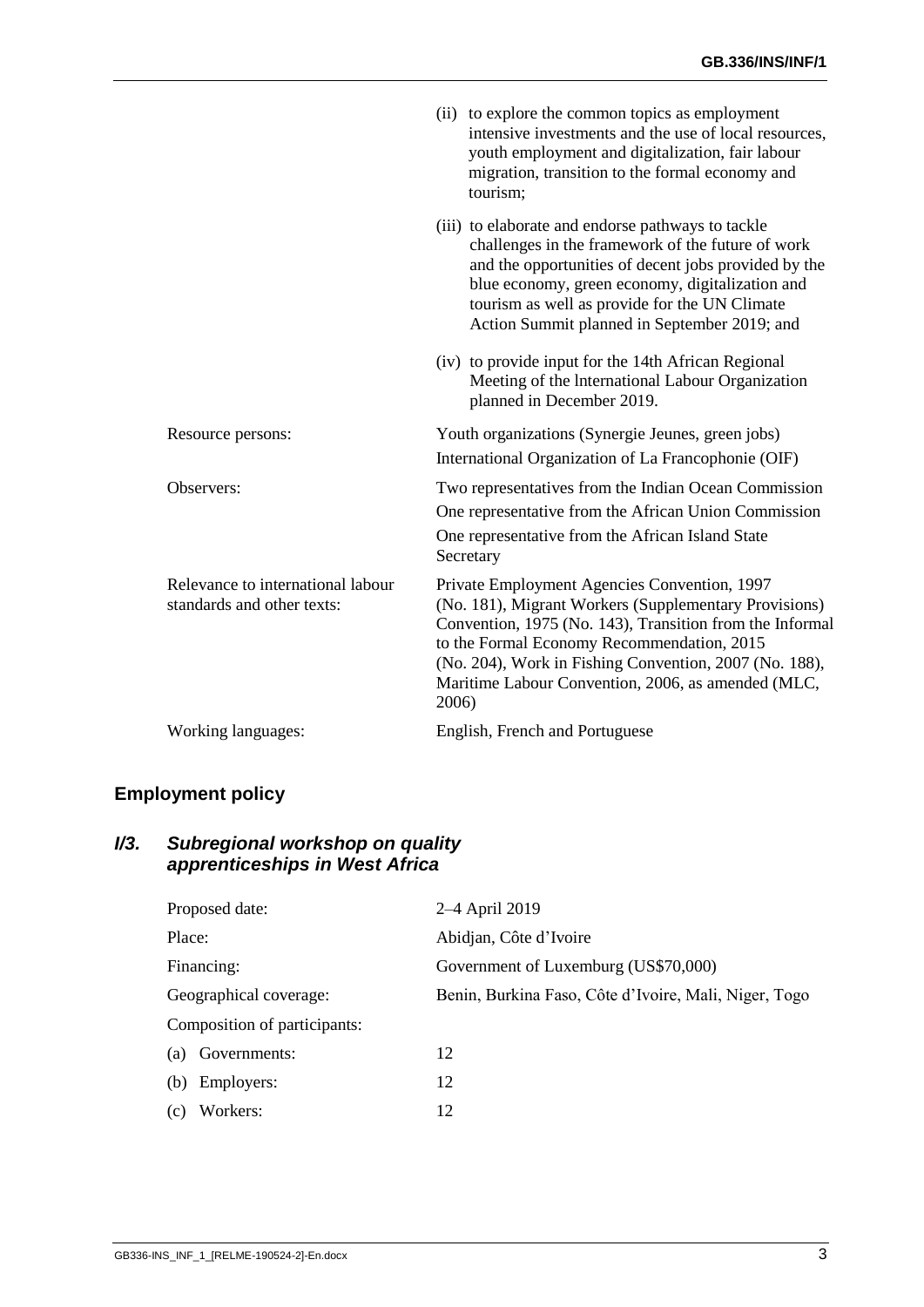|                                                                 | (ii) to explore the common topics as employment<br>intensive investments and the use of local resources,<br>youth employment and digitalization, fair labour<br>migration, transition to the formal economy and<br>tourism:                                                                                                              |
|-----------------------------------------------------------------|------------------------------------------------------------------------------------------------------------------------------------------------------------------------------------------------------------------------------------------------------------------------------------------------------------------------------------------|
|                                                                 | (iii) to elaborate and endorse pathways to tackle<br>challenges in the framework of the future of work<br>and the opportunities of decent jobs provided by the<br>blue economy, green economy, digitalization and<br>tourism as well as provide for the UN Climate<br>Action Summit planned in September 2019; and                       |
|                                                                 | (iv) to provide input for the 14th African Regional<br>Meeting of the International Labour Organization<br>planned in December 2019.                                                                                                                                                                                                     |
| Resource persons:                                               | Youth organizations (Synergie Jeunes, green jobs)<br>International Organization of La Francophonie (OIF)                                                                                                                                                                                                                                 |
| Observers:                                                      | Two representatives from the Indian Ocean Commission<br>One representative from the African Union Commission<br>One representative from the African Island State<br>Secretary                                                                                                                                                            |
| Relevance to international labour<br>standards and other texts: | Private Employment Agencies Convention, 1997<br>(No. 181), Migrant Workers (Supplementary Provisions)<br>Convention, 1975 (No. 143), Transition from the Informal<br>to the Formal Economy Recommendation, 2015<br>(No. 204), Work in Fishing Convention, 2007 (No. 188),<br>Maritime Labour Convention, 2006, as amended (MLC,<br>2006) |
| Working languages:                                              | English, French and Portuguese                                                                                                                                                                                                                                                                                                           |

# <span id="page-4-0"></span>**Employment policy**

#### <span id="page-4-1"></span>*I/3. Subregional workshop on quality apprenticeships in West Africa*

| Proposed date:               | 2–4 April 2019                                        |
|------------------------------|-------------------------------------------------------|
| Place:                       | Abidjan, Côte d'Ivoire                                |
| Financing:                   | Government of Luxemburg (US\$70,000)                  |
| Geographical coverage:       | Benin, Burkina Faso, Côte d'Ivoire, Mali, Niger, Togo |
| Composition of participants: |                                                       |
| (a) Governments:             | 12                                                    |
| (b)<br>Employers:            | 12                                                    |
| Workers:<br>(c)              | 12                                                    |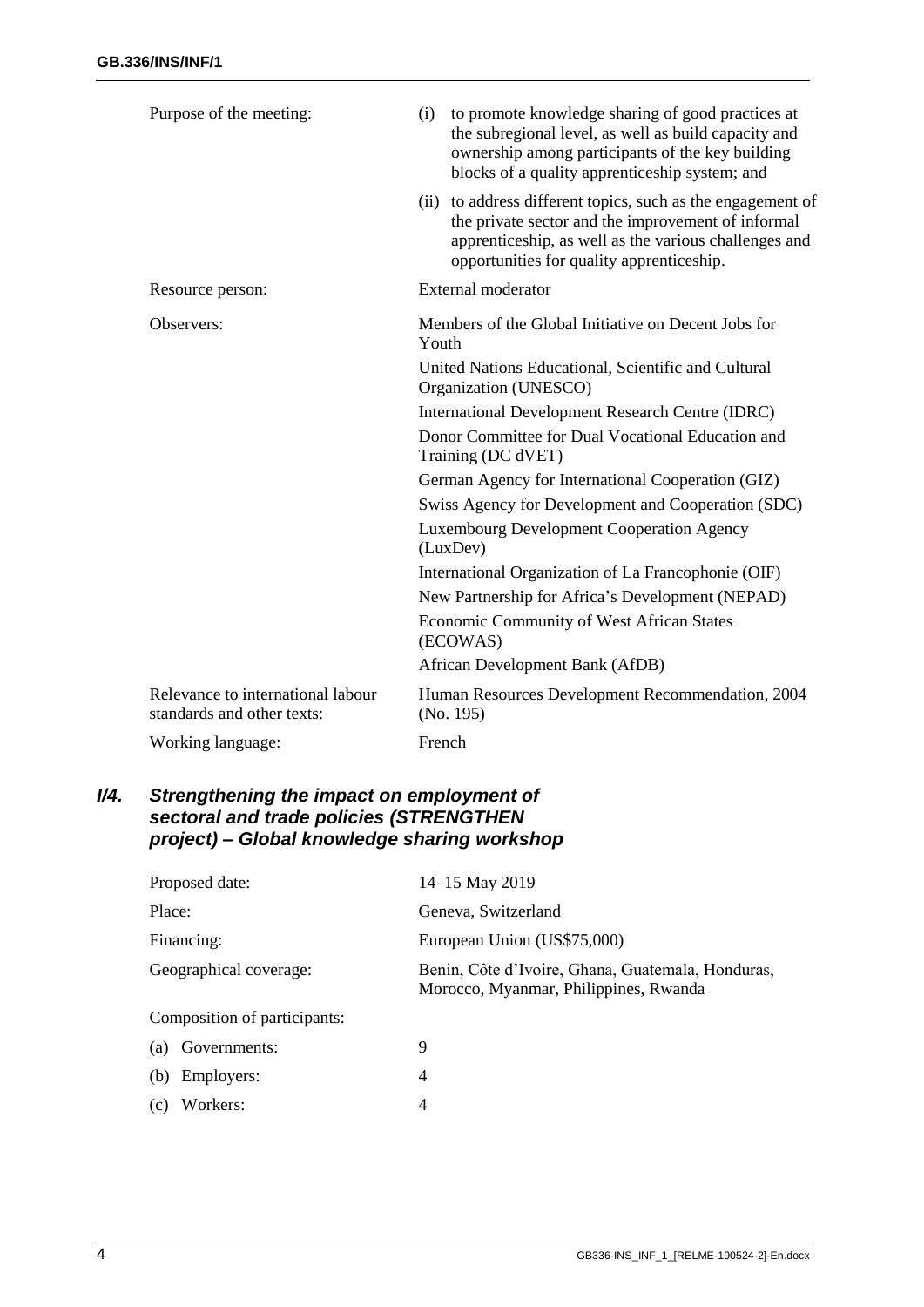| Purpose of the meeting:                                         | to promote knowledge sharing of good practices at<br>(i)<br>the subregional level, as well as build capacity and<br>ownership among participants of the key building<br>blocks of a quality apprenticeship system; and  |
|-----------------------------------------------------------------|-------------------------------------------------------------------------------------------------------------------------------------------------------------------------------------------------------------------------|
|                                                                 | (ii) to address different topics, such as the engagement of<br>the private sector and the improvement of informal<br>apprenticeship, as well as the various challenges and<br>opportunities for quality apprenticeship. |
| Resource person:                                                | <b>External moderator</b>                                                                                                                                                                                               |
| Observers:                                                      | Members of the Global Initiative on Decent Jobs for<br>Youth                                                                                                                                                            |
|                                                                 | United Nations Educational, Scientific and Cultural<br>Organization (UNESCO)                                                                                                                                            |
|                                                                 | <b>International Development Research Centre (IDRC)</b>                                                                                                                                                                 |
|                                                                 | Donor Committee for Dual Vocational Education and<br>Training (DC dVET)                                                                                                                                                 |
|                                                                 | German Agency for International Cooperation (GIZ)                                                                                                                                                                       |
|                                                                 | Swiss Agency for Development and Cooperation (SDC)                                                                                                                                                                      |
|                                                                 | <b>Luxembourg Development Cooperation Agency</b><br>(LuxDev)                                                                                                                                                            |
|                                                                 | International Organization of La Francophonie (OIF)                                                                                                                                                                     |
|                                                                 | New Partnership for Africa's Development (NEPAD)                                                                                                                                                                        |
|                                                                 | Economic Community of West African States<br>(ECOWAS)                                                                                                                                                                   |
|                                                                 | African Development Bank (AfDB)                                                                                                                                                                                         |
| Relevance to international labour<br>standards and other texts: | Human Resources Development Recommendation, 2004<br>(No. 195)                                                                                                                                                           |
| Working language:                                               | French                                                                                                                                                                                                                  |

#### <span id="page-5-0"></span>*I/4. Strengthening the impact on employment of sectoral and trade policies (STRENGTHEN project) – Global knowledge sharing workshop*

| Proposed date:               | 14–15 May 2019                                                                             |
|------------------------------|--------------------------------------------------------------------------------------------|
| Place:                       | Geneva, Switzerland                                                                        |
| Financing:                   | European Union (US\$75,000)                                                                |
| Geographical coverage:       | Benin, Côte d'Ivoire, Ghana, Guatemala, Honduras,<br>Morocco, Myanmar, Philippines, Rwanda |
| Composition of participants: |                                                                                            |
| Governments:<br>(a)          | 9                                                                                          |
| Employers:<br>(b)            | 4                                                                                          |
| Workers:<br>(C)              | 4                                                                                          |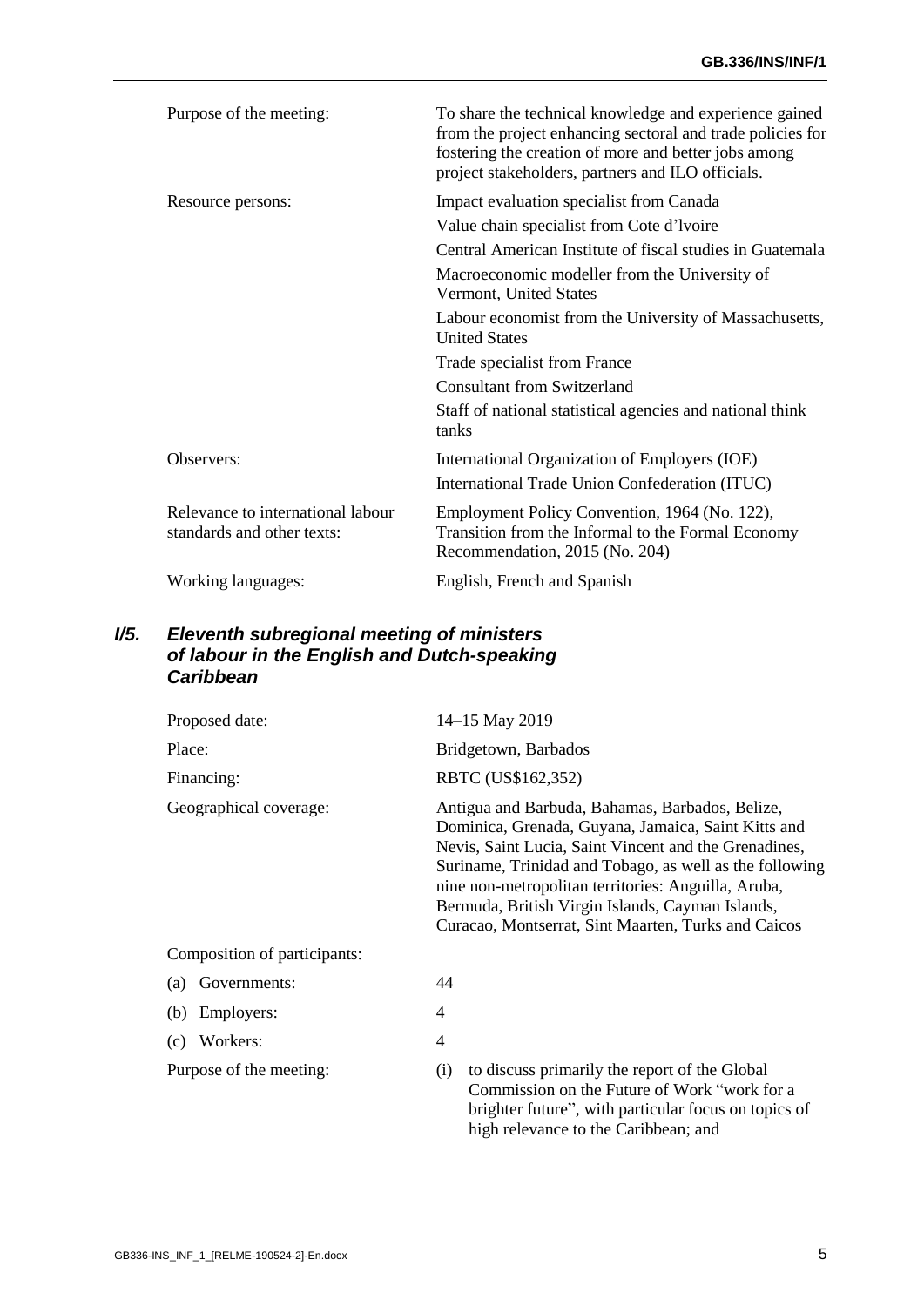| Purpose of the meeting:                                         | To share the technical knowledge and experience gained<br>from the project enhancing sectoral and trade policies for<br>fostering the creation of more and better jobs among<br>project stakeholders, partners and ILO officials. |
|-----------------------------------------------------------------|-----------------------------------------------------------------------------------------------------------------------------------------------------------------------------------------------------------------------------------|
| Resource persons:                                               | Impact evaluation specialist from Canada                                                                                                                                                                                          |
|                                                                 | Value chain specialist from Cote d'Ivoire                                                                                                                                                                                         |
|                                                                 | Central American Institute of fiscal studies in Guatemala                                                                                                                                                                         |
|                                                                 | Macroeconomic modeller from the University of<br>Vermont, United States                                                                                                                                                           |
|                                                                 | Labour economist from the University of Massachusetts,<br><b>United States</b>                                                                                                                                                    |
|                                                                 | Trade specialist from France                                                                                                                                                                                                      |
|                                                                 | <b>Consultant from Switzerland</b>                                                                                                                                                                                                |
|                                                                 | Staff of national statistical agencies and national think<br>tanks                                                                                                                                                                |
| Observers:                                                      | International Organization of Employers (IOE)                                                                                                                                                                                     |
|                                                                 | International Trade Union Confederation (ITUC)                                                                                                                                                                                    |
| Relevance to international labour<br>standards and other texts: | Employment Policy Convention, 1964 (No. 122),<br>Transition from the Informal to the Formal Economy<br>Recommendation, 2015 (No. 204)                                                                                             |
| Working languages:                                              | English, French and Spanish                                                                                                                                                                                                       |

### <span id="page-6-0"></span>*I/5. Eleventh subregional meeting of ministers of labour in the English and Dutch-speaking Caribbean*

| Proposed date:               | 14-15 May 2019                                                                                                                                                                                                                                                                                                                                                                               |
|------------------------------|----------------------------------------------------------------------------------------------------------------------------------------------------------------------------------------------------------------------------------------------------------------------------------------------------------------------------------------------------------------------------------------------|
| Place:                       | Bridgetown, Barbados                                                                                                                                                                                                                                                                                                                                                                         |
| Financing:                   | RBTC (US\$162,352)                                                                                                                                                                                                                                                                                                                                                                           |
| Geographical coverage:       | Antigua and Barbuda, Bahamas, Barbados, Belize,<br>Dominica, Grenada, Guyana, Jamaica, Saint Kitts and<br>Nevis, Saint Lucia, Saint Vincent and the Grenadines,<br>Suriname, Trinidad and Tobago, as well as the following<br>nine non-metropolitan territories: Anguilla, Aruba,<br>Bermuda, British Virgin Islands, Cayman Islands,<br>Curacao, Montserrat, Sint Maarten, Turks and Caicos |
| Composition of participants: |                                                                                                                                                                                                                                                                                                                                                                                              |
| Governments:<br>(a)          | 44                                                                                                                                                                                                                                                                                                                                                                                           |
| Employers:<br>(b)            | 4                                                                                                                                                                                                                                                                                                                                                                                            |
| Workers:<br>(c)              | 4                                                                                                                                                                                                                                                                                                                                                                                            |
| Purpose of the meeting:      | to discuss primarily the report of the Global<br>(i)<br>Commission on the Future of Work "work for a<br>brighter future", with particular focus on topics of                                                                                                                                                                                                                                 |

high relevance to the Caribbean; and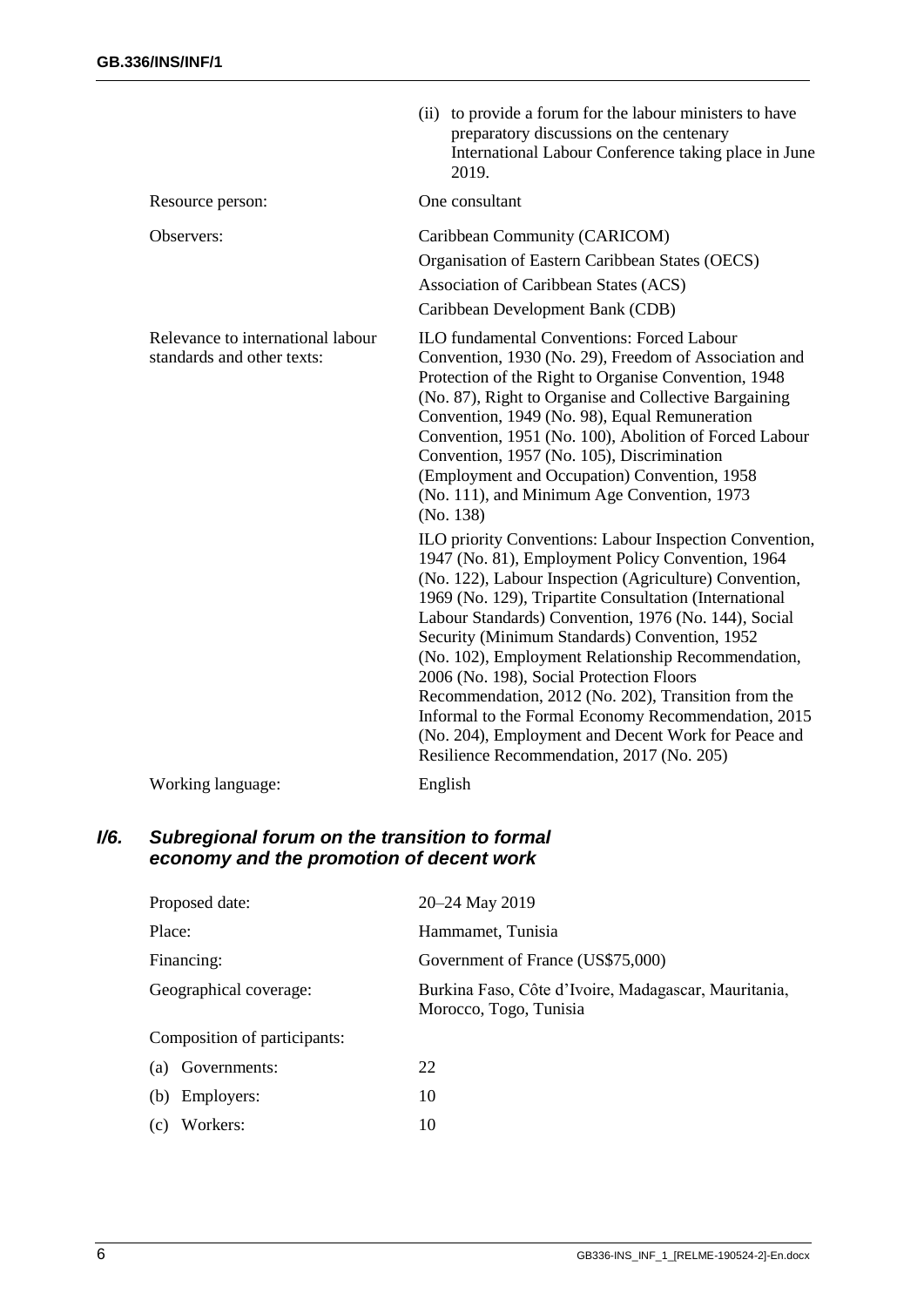|                                                                 | (ii) to provide a forum for the labour ministers to have<br>preparatory discussions on the centenary<br>International Labour Conference taking place in June<br>2019.                                                                                                                                                                                                                                                                                                                                                                                                                                                                                                                                                                                                                                                                                                                                                                           |
|-----------------------------------------------------------------|-------------------------------------------------------------------------------------------------------------------------------------------------------------------------------------------------------------------------------------------------------------------------------------------------------------------------------------------------------------------------------------------------------------------------------------------------------------------------------------------------------------------------------------------------------------------------------------------------------------------------------------------------------------------------------------------------------------------------------------------------------------------------------------------------------------------------------------------------------------------------------------------------------------------------------------------------|
| Resource person:                                                | One consultant                                                                                                                                                                                                                                                                                                                                                                                                                                                                                                                                                                                                                                                                                                                                                                                                                                                                                                                                  |
| Observers:                                                      | Caribbean Community (CARICOM)<br>Organisation of Eastern Caribbean States (OECS)<br>Association of Caribbean States (ACS)<br>Caribbean Development Bank (CDB)                                                                                                                                                                                                                                                                                                                                                                                                                                                                                                                                                                                                                                                                                                                                                                                   |
| Relevance to international labour<br>standards and other texts: | <b>ILO fundamental Conventions: Forced Labour</b><br>Convention, 1930 (No. 29), Freedom of Association and<br>Protection of the Right to Organise Convention, 1948<br>(No. 87), Right to Organise and Collective Bargaining<br>Convention, 1949 (No. 98), Equal Remuneration<br>Convention, 1951 (No. 100), Abolition of Forced Labour<br>Convention, 1957 (No. 105), Discrimination<br>(Employment and Occupation) Convention, 1958<br>(No. 111), and Minimum Age Convention, 1973<br>(No. 138)<br>ILO priority Conventions: Labour Inspection Convention,<br>1947 (No. 81), Employment Policy Convention, 1964<br>(No. 122), Labour Inspection (Agriculture) Convention,<br>1969 (No. 129), Tripartite Consultation (International<br>Labour Standards) Convention, 1976 (No. 144), Social<br>Security (Minimum Standards) Convention, 1952<br>(No. 102), Employment Relationship Recommendation,<br>2006 (No. 198), Social Protection Floors |
|                                                                 | Recommendation, 2012 (No. 202), Transition from the<br>Informal to the Formal Economy Recommendation, 2015<br>(No. 204), Employment and Decent Work for Peace and<br>Resilience Recommendation, 2017 (No. 205)                                                                                                                                                                                                                                                                                                                                                                                                                                                                                                                                                                                                                                                                                                                                  |
| Working language:                                               | English                                                                                                                                                                                                                                                                                                                                                                                                                                                                                                                                                                                                                                                                                                                                                                                                                                                                                                                                         |

#### <span id="page-7-0"></span>*I/6. Subregional forum on the transition to formal economy and the promotion of decent work*

| Proposed date:               | 20–24 May 2019                                                                 |
|------------------------------|--------------------------------------------------------------------------------|
| Place:                       | Hammamet, Tunisia                                                              |
| Financing:                   | Government of France (US\$75,000)                                              |
| Geographical coverage:       | Burkina Faso, Côte d'Ivoire, Madagascar, Mauritania,<br>Morocco, Togo, Tunisia |
| Composition of participants: |                                                                                |
| Governments:<br>(a)          | 22                                                                             |
| Employers:<br>(b)            | 10                                                                             |
| Workers:<br>(c)              | 10                                                                             |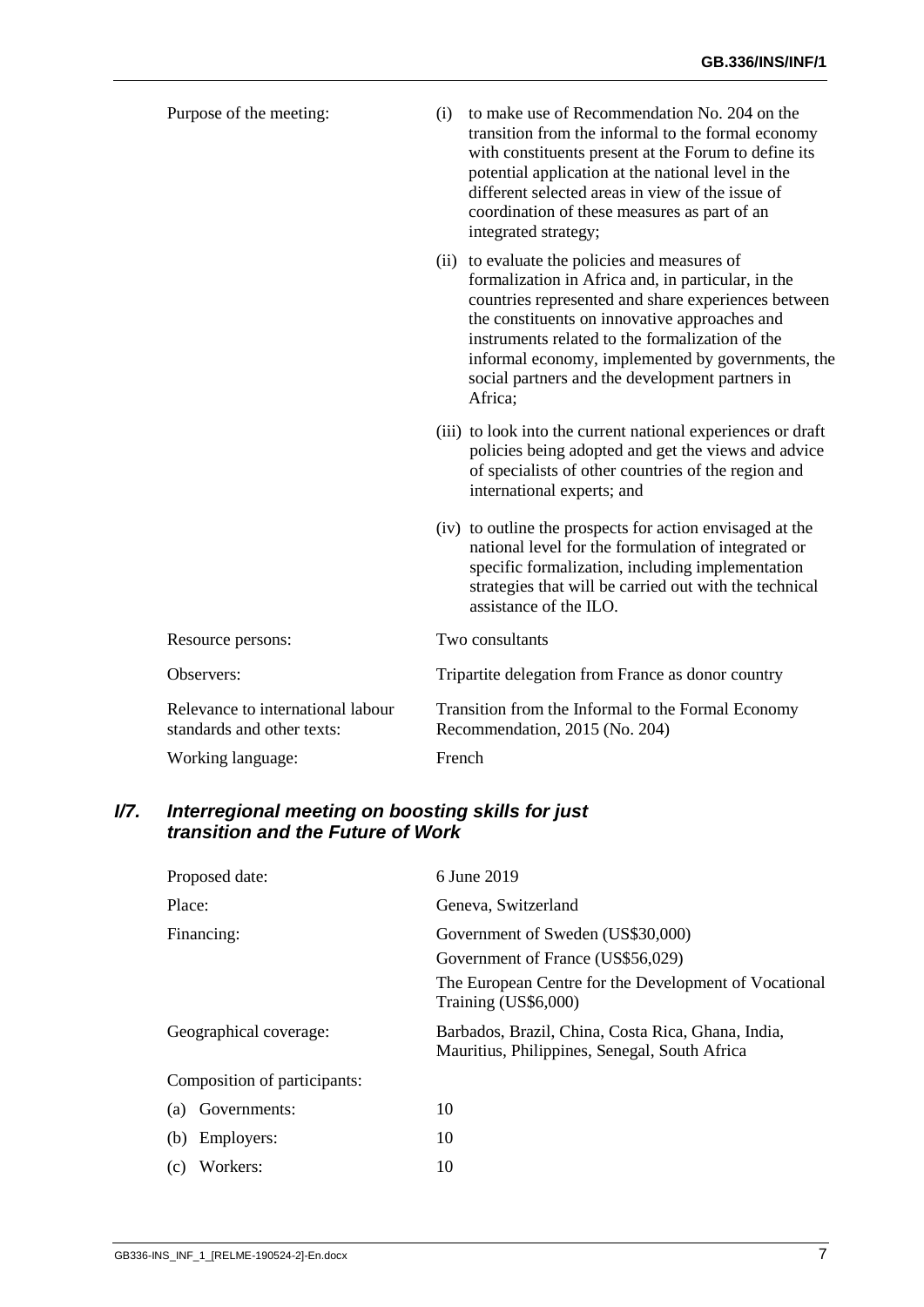| Purpose of the meeting:                                         | (i)    | to make use of Recommendation No. 204 on the<br>transition from the informal to the formal economy<br>with constituents present at the Forum to define its<br>potential application at the national level in the<br>different selected areas in view of the issue of<br>coordination of these measures as part of an<br>integrated strategy;                                      |
|-----------------------------------------------------------------|--------|-----------------------------------------------------------------------------------------------------------------------------------------------------------------------------------------------------------------------------------------------------------------------------------------------------------------------------------------------------------------------------------|
|                                                                 |        | (ii) to evaluate the policies and measures of<br>formalization in Africa and, in particular, in the<br>countries represented and share experiences between<br>the constituents on innovative approaches and<br>instruments related to the formalization of the<br>informal economy, implemented by governments, the<br>social partners and the development partners in<br>Africa; |
|                                                                 |        | (iii) to look into the current national experiences or draft<br>policies being adopted and get the views and advice<br>of specialists of other countries of the region and<br>international experts; and                                                                                                                                                                          |
|                                                                 |        | (iv) to outline the prospects for action envisaged at the<br>national level for the formulation of integrated or<br>specific formalization, including implementation<br>strategies that will be carried out with the technical<br>assistance of the ILO.                                                                                                                          |
| Resource persons:                                               |        | Two consultants                                                                                                                                                                                                                                                                                                                                                                   |
| Observers:                                                      |        | Tripartite delegation from France as donor country                                                                                                                                                                                                                                                                                                                                |
| Relevance to international labour<br>standards and other texts: |        | Transition from the Informal to the Formal Economy<br>Recommendation, 2015 (No. 204)                                                                                                                                                                                                                                                                                              |
| Working language:                                               | French |                                                                                                                                                                                                                                                                                                                                                                                   |

#### <span id="page-8-0"></span>*I/7. Interregional meeting on boosting skills for just transition and the Future of Work*

| Proposed date:               | 6 June 2019                                                                                         |  |  |
|------------------------------|-----------------------------------------------------------------------------------------------------|--|--|
| Place:                       | Geneva, Switzerland                                                                                 |  |  |
| Financing:                   | Government of Sweden (US\$30,000)                                                                   |  |  |
|                              | Government of France (US\$56,029)                                                                   |  |  |
|                              | The European Centre for the Development of Vocational<br>Training (US\$6,000)                       |  |  |
| Geographical coverage:       | Barbados, Brazil, China, Costa Rica, Ghana, India,<br>Mauritius, Philippines, Senegal, South Africa |  |  |
| Composition of participants: |                                                                                                     |  |  |
| Governments:<br>(a)          | 10                                                                                                  |  |  |
| Employers:<br>(b)            | 10                                                                                                  |  |  |
| Workers:<br>(c)              | 10                                                                                                  |  |  |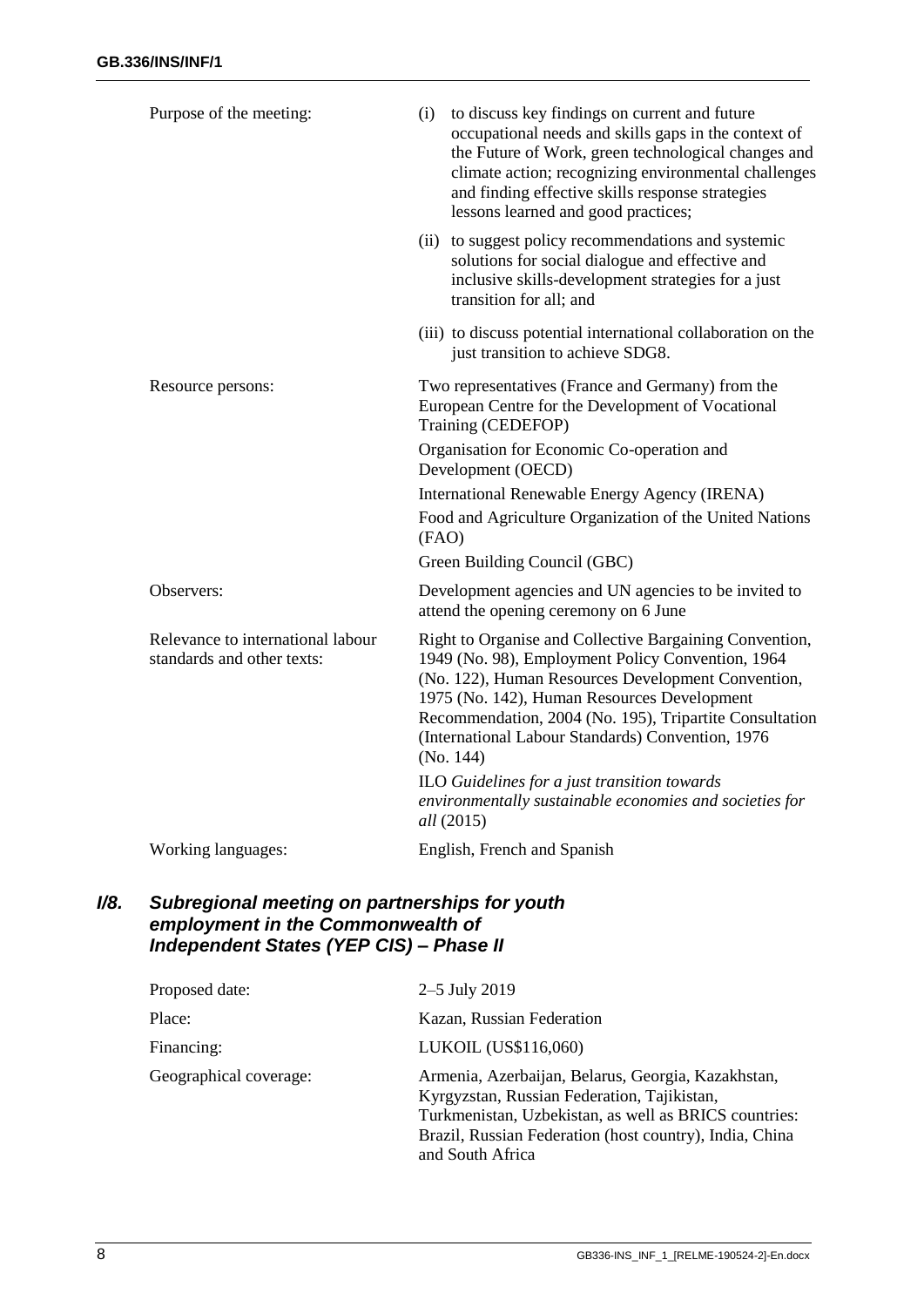| Purpose of the meeting:                                         | to discuss key findings on current and future<br>(i)<br>occupational needs and skills gaps in the context of<br>the Future of Work, green technological changes and<br>climate action; recognizing environmental challenges<br>and finding effective skills response strategies<br>lessons learned and good practices;                         |
|-----------------------------------------------------------------|------------------------------------------------------------------------------------------------------------------------------------------------------------------------------------------------------------------------------------------------------------------------------------------------------------------------------------------------|
|                                                                 | (ii) to suggest policy recommendations and systemic<br>solutions for social dialogue and effective and<br>inclusive skills-development strategies for a just<br>transition for all; and                                                                                                                                                        |
|                                                                 | (iii) to discuss potential international collaboration on the<br>just transition to achieve SDG8.                                                                                                                                                                                                                                              |
| Resource persons:                                               | Two representatives (France and Germany) from the<br>European Centre for the Development of Vocational<br>Training (CEDEFOP)                                                                                                                                                                                                                   |
|                                                                 | Organisation for Economic Co-operation and<br>Development (OECD)                                                                                                                                                                                                                                                                               |
|                                                                 | International Renewable Energy Agency (IRENA)                                                                                                                                                                                                                                                                                                  |
|                                                                 | Food and Agriculture Organization of the United Nations<br>(FAO)                                                                                                                                                                                                                                                                               |
|                                                                 | Green Building Council (GBC)                                                                                                                                                                                                                                                                                                                   |
| Observers:                                                      | Development agencies and UN agencies to be invited to<br>attend the opening ceremony on 6 June                                                                                                                                                                                                                                                 |
| Relevance to international labour<br>standards and other texts: | Right to Organise and Collective Bargaining Convention,<br>1949 (No. 98), Employment Policy Convention, 1964<br>(No. 122), Human Resources Development Convention,<br>1975 (No. 142), Human Resources Development<br>Recommendation, 2004 (No. 195), Tripartite Consultation<br>(International Labour Standards) Convention, 1976<br>(No. 144) |
|                                                                 | ILO Guidelines for a just transition towards<br>environmentally sustainable economies and societies for<br><i>all</i> (2015)                                                                                                                                                                                                                   |
| Working languages:                                              | English, French and Spanish                                                                                                                                                                                                                                                                                                                    |

#### <span id="page-9-0"></span>*I/8. Subregional meeting on partnerships for youth employment in the Commonwealth of Independent States (YEP CIS) – Phase II*

| Proposed date:         | 2–5 July 2019                                                                                                                                                                                                                             |
|------------------------|-------------------------------------------------------------------------------------------------------------------------------------------------------------------------------------------------------------------------------------------|
| Place:                 | Kazan, Russian Federation                                                                                                                                                                                                                 |
| Financing:             | LUKOIL (US\$116,060)                                                                                                                                                                                                                      |
| Geographical coverage: | Armenia, Azerbaijan, Belarus, Georgia, Kazakhstan,<br>Kyrgyzstan, Russian Federation, Tajikistan,<br>Turkmenistan, Uzbekistan, as well as BRICS countries:<br>Brazil, Russian Federation (host country), India, China<br>and South Africa |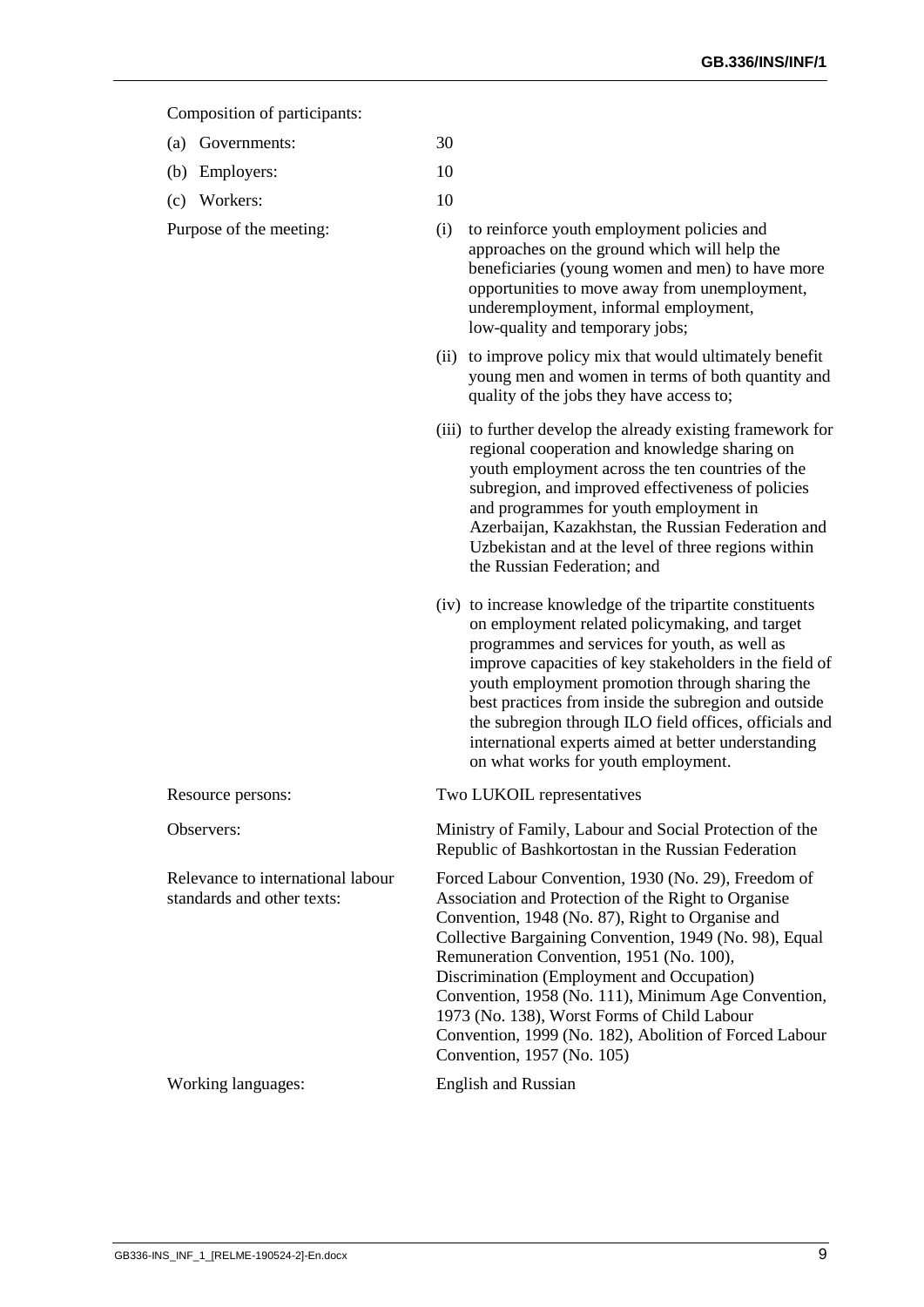#### Composition of participants:

- (a) Governments: 30
- (b) Employers: 10
- (c) Workers: 10
- 
- Purpose of the meeting: (i) to reinforce youth employment policies and approaches on the ground which will help the beneficiaries (young women and men) to have more opportunities to move away from unemployment, underemployment, informal employment, low-quality and temporary jobs;
	- (ii) to improve policy mix that would ultimately benefit young men and women in terms of both quantity and quality of the jobs they have access to;
	- (iii) to further develop the already existing framework for regional cooperation and knowledge sharing on youth employment across the ten countries of the subregion, and improved effectiveness of policies and programmes for youth employment in Azerbaijan, Kazakhstan, the Russian Federation and Uzbekistan and at the level of three regions within the Russian Federation; and
	- (iv) to increase knowledge of the tripartite constituents on employment related policymaking, and target programmes and services for youth, as well as improve capacities of key stakeholders in the field of youth employment promotion through sharing the best practices from inside the subregion and outside the subregion through ILO field offices, officials and international experts aimed at better understanding on what works for youth employment.
- Resource persons: Two LUKOIL representatives Observers: Ministry of Family, Labour and Social Protection of the Republic of Bashkortostan in the Russian Federation Relevance to international labour standards and other texts: Forced Labour Convention, 1930 (No. 29), Freedom of Association and Protection of the Right to Organise Convention, 1948 (No. 87), Right to Organise and Collective Bargaining Convention, 1949 (No. 98), Equal Remuneration Convention, 1951 (No. 100), Discrimination (Employment and Occupation) Convention, 1958 (No. 111), Minimum Age Convention, 1973 (No. 138), Worst Forms of Child Labour Convention, 1999 (No. 182), Abolition of Forced Labour Convention, 1957 (No. 105) Working languages: English and Russian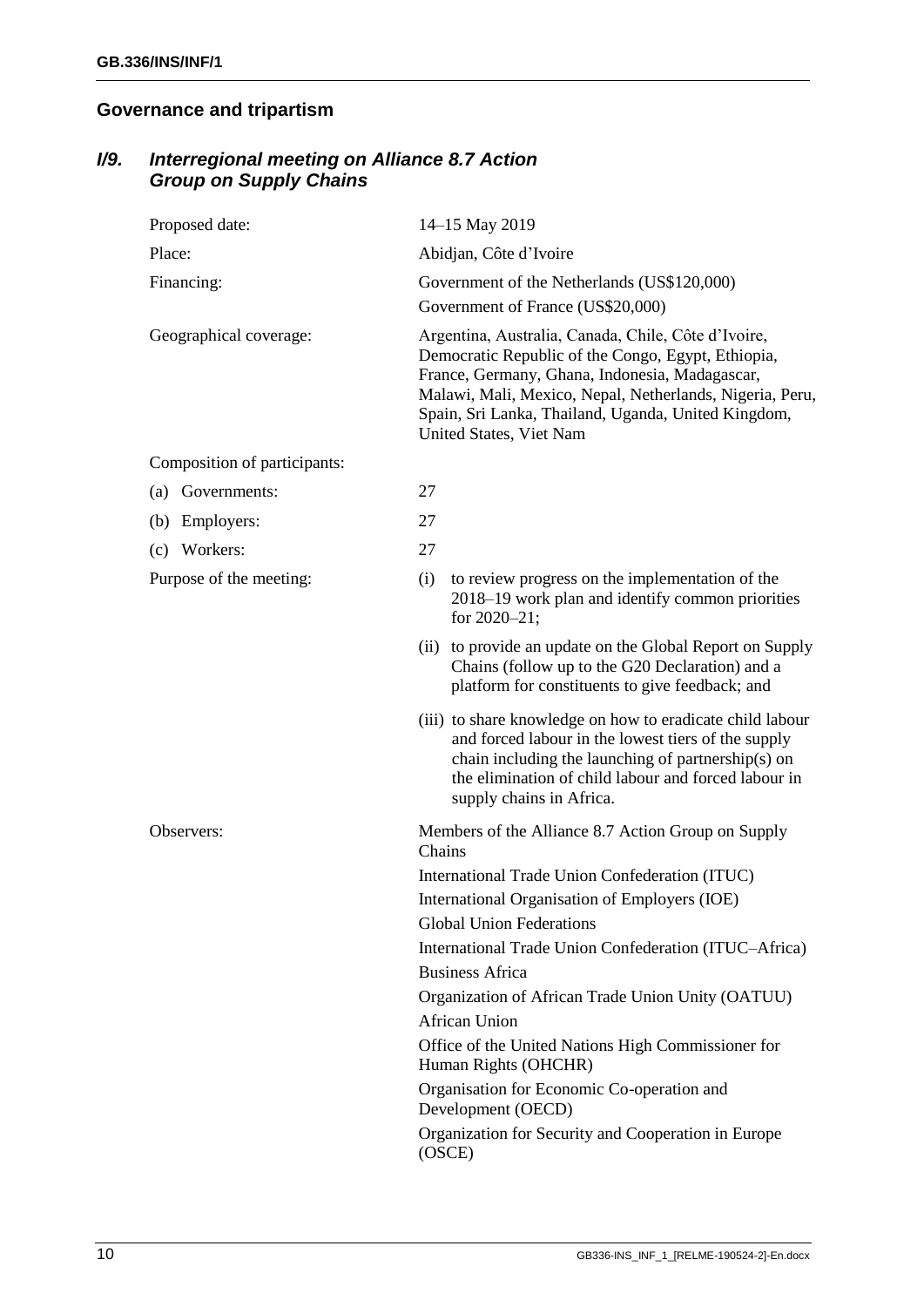## <span id="page-11-0"></span>**Governance and tripartism**

## <span id="page-11-1"></span>*I/9. Interregional meeting on Alliance 8.7 Action Group on Supply Chains*

| Proposed date:               | 14-15 May 2019                                                                                                                                                                                                                                                                                            |
|------------------------------|-----------------------------------------------------------------------------------------------------------------------------------------------------------------------------------------------------------------------------------------------------------------------------------------------------------|
| Place:                       | Abidjan, Côte d'Ivoire                                                                                                                                                                                                                                                                                    |
| Financing:                   | Government of the Netherlands (US\$120,000)                                                                                                                                                                                                                                                               |
|                              | Government of France (US\$20,000)                                                                                                                                                                                                                                                                         |
| Geographical coverage:       | Argentina, Australia, Canada, Chile, Côte d'Ivoire,<br>Democratic Republic of the Congo, Egypt, Ethiopia,<br>France, Germany, Ghana, Indonesia, Madagascar,<br>Malawi, Mali, Mexico, Nepal, Netherlands, Nigeria, Peru,<br>Spain, Sri Lanka, Thailand, Uganda, United Kingdom,<br>United States, Viet Nam |
| Composition of participants: |                                                                                                                                                                                                                                                                                                           |
| Governments:<br>(a)          | 27                                                                                                                                                                                                                                                                                                        |
| Employers:<br>(b)            | 27                                                                                                                                                                                                                                                                                                        |
| Workers:<br>(c)              | 27                                                                                                                                                                                                                                                                                                        |
| Purpose of the meeting:      | to review progress on the implementation of the<br>(i)<br>2018–19 work plan and identify common priorities<br>for 2020-21;                                                                                                                                                                                |
|                              | (ii) to provide an update on the Global Report on Supply<br>Chains (follow up to the G20 Declaration) and a<br>platform for constituents to give feedback; and                                                                                                                                            |
|                              | (iii) to share knowledge on how to eradicate child labour<br>and forced labour in the lowest tiers of the supply<br>chain including the launching of partnership(s) on<br>the elimination of child labour and forced labour in<br>supply chains in Africa.                                                |
| Observers:                   | Members of the Alliance 8.7 Action Group on Supply<br>Chains                                                                                                                                                                                                                                              |
|                              | International Trade Union Confederation (ITUC)                                                                                                                                                                                                                                                            |
|                              | International Organisation of Employers (IOE)                                                                                                                                                                                                                                                             |
|                              | <b>Global Union Federations</b>                                                                                                                                                                                                                                                                           |
|                              | International Trade Union Confederation (ITUC-Africa)                                                                                                                                                                                                                                                     |
|                              | <b>Business Africa</b>                                                                                                                                                                                                                                                                                    |
|                              | Organization of African Trade Union Unity (OATUU)<br><b>African Union</b>                                                                                                                                                                                                                                 |
|                              | Office of the United Nations High Commissioner for<br>Human Rights (OHCHR)                                                                                                                                                                                                                                |
|                              | Organisation for Economic Co-operation and<br>Development (OECD)                                                                                                                                                                                                                                          |
|                              | Organization for Security and Cooperation in Europe<br>(OSCE)                                                                                                                                                                                                                                             |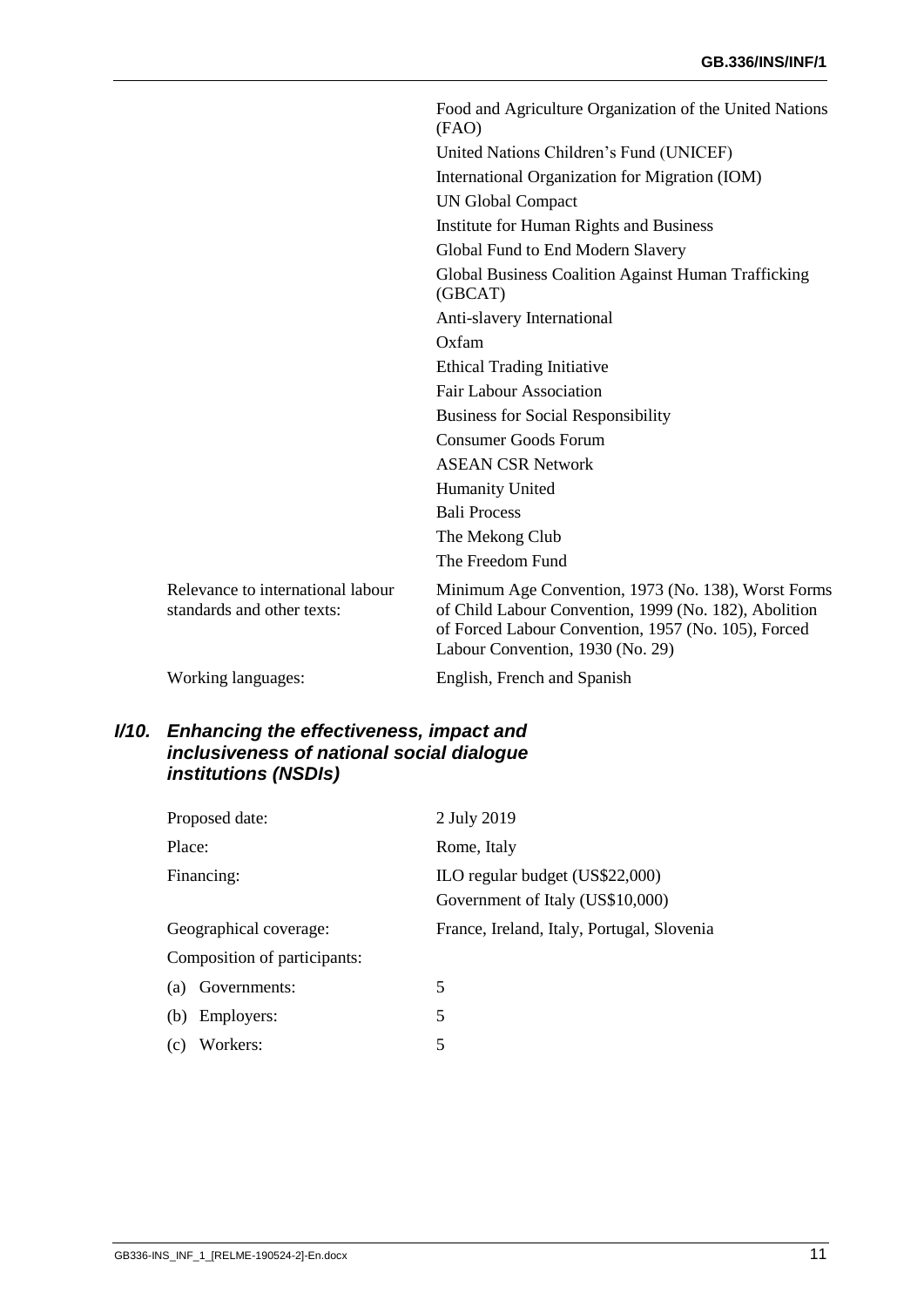|                                                                 | Food and Agriculture Organization of the United Nations<br>(FAO)                                                                                                                                        |
|-----------------------------------------------------------------|---------------------------------------------------------------------------------------------------------------------------------------------------------------------------------------------------------|
|                                                                 | United Nations Children's Fund (UNICEF)                                                                                                                                                                 |
|                                                                 | International Organization for Migration (IOM)                                                                                                                                                          |
|                                                                 | <b>UN Global Compact</b>                                                                                                                                                                                |
|                                                                 | Institute for Human Rights and Business                                                                                                                                                                 |
|                                                                 | Global Fund to End Modern Slavery                                                                                                                                                                       |
|                                                                 | Global Business Coalition Against Human Trafficking<br>(GBCAT)                                                                                                                                          |
|                                                                 | Anti-slavery International                                                                                                                                                                              |
|                                                                 | Oxfam                                                                                                                                                                                                   |
|                                                                 | <b>Ethical Trading Initiative</b>                                                                                                                                                                       |
|                                                                 | <b>Fair Labour Association</b>                                                                                                                                                                          |
|                                                                 | <b>Business for Social Responsibility</b>                                                                                                                                                               |
|                                                                 | <b>Consumer Goods Forum</b>                                                                                                                                                                             |
|                                                                 | <b>ASEAN CSR Network</b>                                                                                                                                                                                |
|                                                                 | <b>Humanity United</b>                                                                                                                                                                                  |
|                                                                 | <b>Bali Process</b>                                                                                                                                                                                     |
|                                                                 | The Mekong Club                                                                                                                                                                                         |
|                                                                 | The Freedom Fund                                                                                                                                                                                        |
| Relevance to international labour<br>standards and other texts: | Minimum Age Convention, 1973 (No. 138), Worst Forms<br>of Child Labour Convention, 1999 (No. 182), Abolition<br>of Forced Labour Convention, 1957 (No. 105), Forced<br>Labour Convention, 1930 (No. 29) |
| Working languages:                                              | English, French and Spanish                                                                                                                                                                             |
|                                                                 |                                                                                                                                                                                                         |

#### <span id="page-12-0"></span>*I/10. Enhancing the effectiveness, impact and inclusiveness of national social dialogue institutions (NSDIs)*

| Proposed date:               | 2 July 2019                                                         |
|------------------------------|---------------------------------------------------------------------|
| Place:                       | Rome, Italy                                                         |
| Financing:                   | ILO regular budget (US\$22,000)<br>Government of Italy (US\$10,000) |
| Geographical coverage:       | France, Ireland, Italy, Portugal, Slovenia                          |
| Composition of participants: |                                                                     |
| Governments:<br>(a)          | 5                                                                   |
| Employers:<br>(b)            | 5                                                                   |
| Workers:<br>(c)              | 5                                                                   |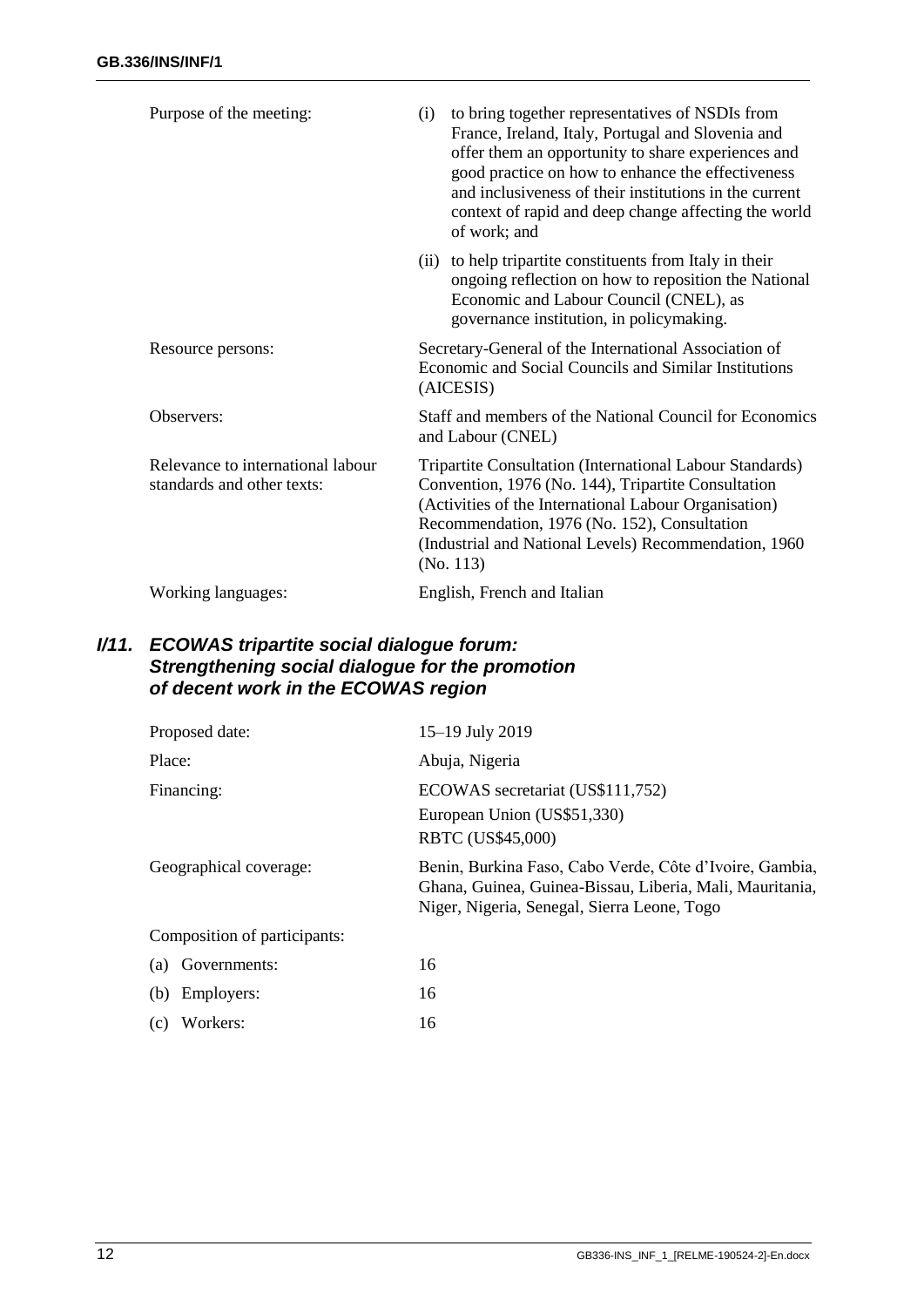| Purpose of the meeting:                                         | to bring together representatives of NSDIs from<br>(i)<br>France, Ireland, Italy, Portugal and Slovenia and<br>offer them an opportunity to share experiences and<br>good practice on how to enhance the effectiveness<br>and inclusiveness of their institutions in the current<br>context of rapid and deep change affecting the world<br>of work; and |
|-----------------------------------------------------------------|----------------------------------------------------------------------------------------------------------------------------------------------------------------------------------------------------------------------------------------------------------------------------------------------------------------------------------------------------------|
|                                                                 | (ii) to help tripartite constituents from Italy in their<br>ongoing reflection on how to reposition the National<br>Economic and Labour Council (CNEL), as<br>governance institution, in policymaking.                                                                                                                                                   |
| Resource persons:                                               | Secretary-General of the International Association of<br>Economic and Social Councils and Similar Institutions<br>(AICESIS)                                                                                                                                                                                                                              |
| Observers:                                                      | Staff and members of the National Council for Economics<br>and Labour (CNEL)                                                                                                                                                                                                                                                                             |
| Relevance to international labour<br>standards and other texts: | Tripartite Consultation (International Labour Standards)<br>Convention, 1976 (No. 144), Tripartite Consultation<br>(Activities of the International Labour Organisation)<br>Recommendation, 1976 (No. 152), Consultation<br>(Industrial and National Levels) Recommendation, 1960<br>(No. 113)                                                           |
| Working languages:                                              | English, French and Italian                                                                                                                                                                                                                                                                                                                              |

#### <span id="page-13-0"></span>*I/11. ECOWAS tripartite social dialogue forum: Strengthening social dialogue for the promotion of decent work in the ECOWAS region*

|        | Proposed date:               | 15-19 July 2019                                                                                                                                                    |
|--------|------------------------------|--------------------------------------------------------------------------------------------------------------------------------------------------------------------|
| Place: |                              | Abuja, Nigeria                                                                                                                                                     |
|        | Financing:                   | ECOWAS secretariat (US\$111,752)<br>European Union (US\$51,330)<br>RBTC (US\$45,000)                                                                               |
|        | Geographical coverage:       | Benin, Burkina Faso, Cabo Verde, Côte d'Ivoire, Gambia,<br>Ghana, Guinea, Guinea-Bissau, Liberia, Mali, Mauritania,<br>Niger, Nigeria, Senegal, Sierra Leone, Togo |
|        | Composition of participants: |                                                                                                                                                                    |
|        | (a) Governments:             | 16                                                                                                                                                                 |
|        | (b) Employers:               | 16                                                                                                                                                                 |
|        | (c) Workers:                 | 16                                                                                                                                                                 |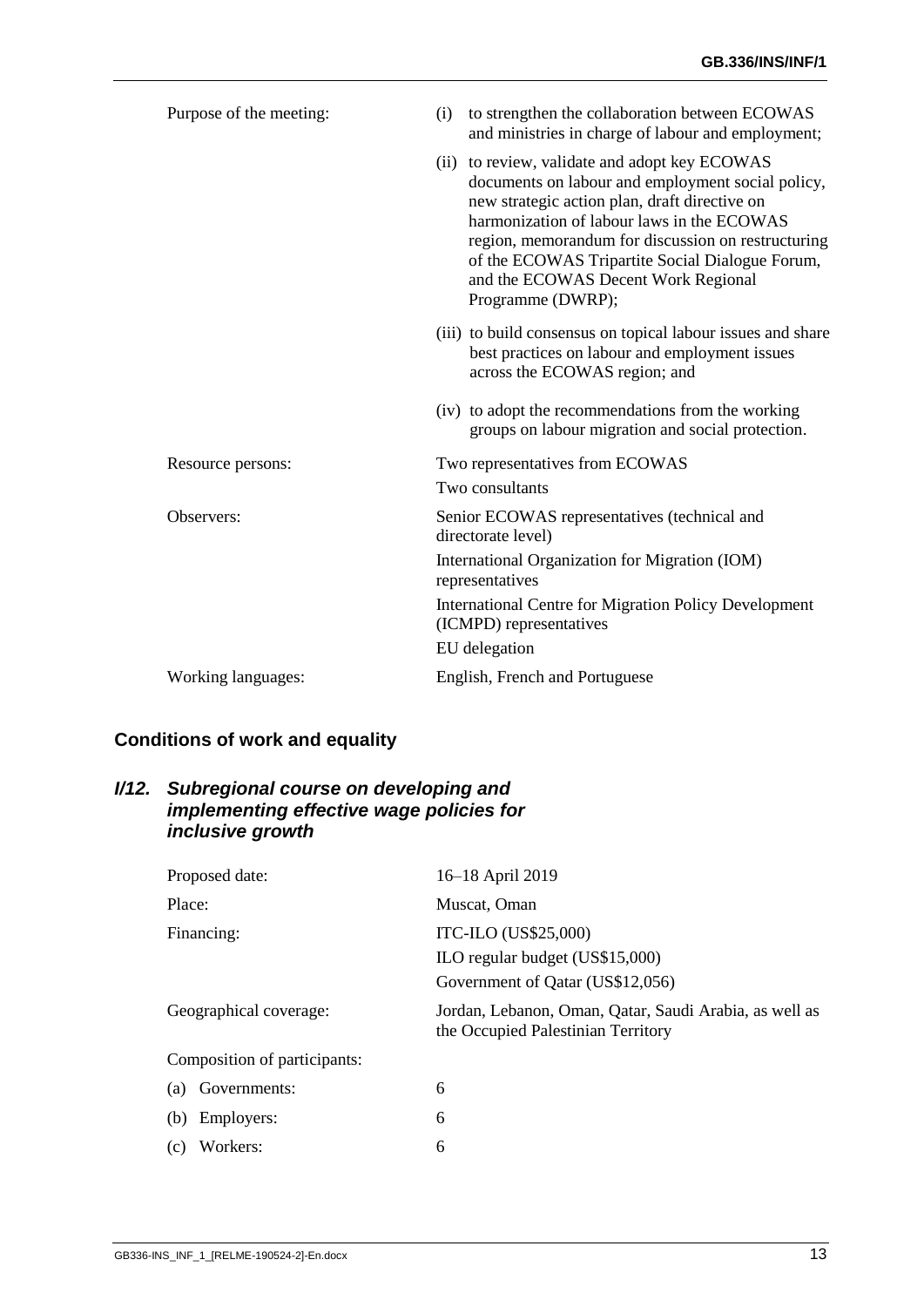| Purpose of the meeting: | to strengthen the collaboration between ECOWAS<br>(i)<br>and ministries in charge of labour and employment;                                                                                                                                                                                                                                                            |
|-------------------------|------------------------------------------------------------------------------------------------------------------------------------------------------------------------------------------------------------------------------------------------------------------------------------------------------------------------------------------------------------------------|
|                         | (ii) to review, validate and adopt key ECOWAS<br>documents on labour and employment social policy,<br>new strategic action plan, draft directive on<br>harmonization of labour laws in the ECOWAS<br>region, memorandum for discussion on restructuring<br>of the ECOWAS Tripartite Social Dialogue Forum,<br>and the ECOWAS Decent Work Regional<br>Programme (DWRP); |
|                         | (iii) to build consensus on topical labour issues and share<br>best practices on labour and employment issues<br>across the ECOWAS region; and                                                                                                                                                                                                                         |
|                         | (iv) to adopt the recommendations from the working<br>groups on labour migration and social protection.                                                                                                                                                                                                                                                                |
| Resource persons:       | Two representatives from ECOWAS                                                                                                                                                                                                                                                                                                                                        |
|                         | Two consultants                                                                                                                                                                                                                                                                                                                                                        |
| Observers:              | Senior ECOWAS representatives (technical and<br>directorate level)                                                                                                                                                                                                                                                                                                     |
|                         | International Organization for Migration (IOM)<br>representatives                                                                                                                                                                                                                                                                                                      |
|                         | <b>International Centre for Migration Policy Development</b><br>(ICMPD) representatives                                                                                                                                                                                                                                                                                |
|                         | EU delegation                                                                                                                                                                                                                                                                                                                                                          |
| Working languages:      | English, French and Portuguese                                                                                                                                                                                                                                                                                                                                         |

## <span id="page-14-0"></span>**Conditions of work and equality**

#### <span id="page-14-1"></span>*I/12. Subregional course on developing and implementing effective wage policies for inclusive growth*

| Proposed date:               | 16-18 April 2019                                                                             |
|------------------------------|----------------------------------------------------------------------------------------------|
| Place:                       | Muscat, Oman                                                                                 |
| Financing:                   | ITC-ILO (US\$25,000)<br>ILO regular budget (US\$15,000)<br>Government of Qatar (US\$12,056)  |
| Geographical coverage:       | Jordan, Lebanon, Oman, Qatar, Saudi Arabia, as well as<br>the Occupied Palestinian Territory |
| Composition of participants: |                                                                                              |
| Governments:<br>(a)          | 6                                                                                            |
| Employers:<br>(b)            | 6                                                                                            |
| Workers:<br>(c)              | 6                                                                                            |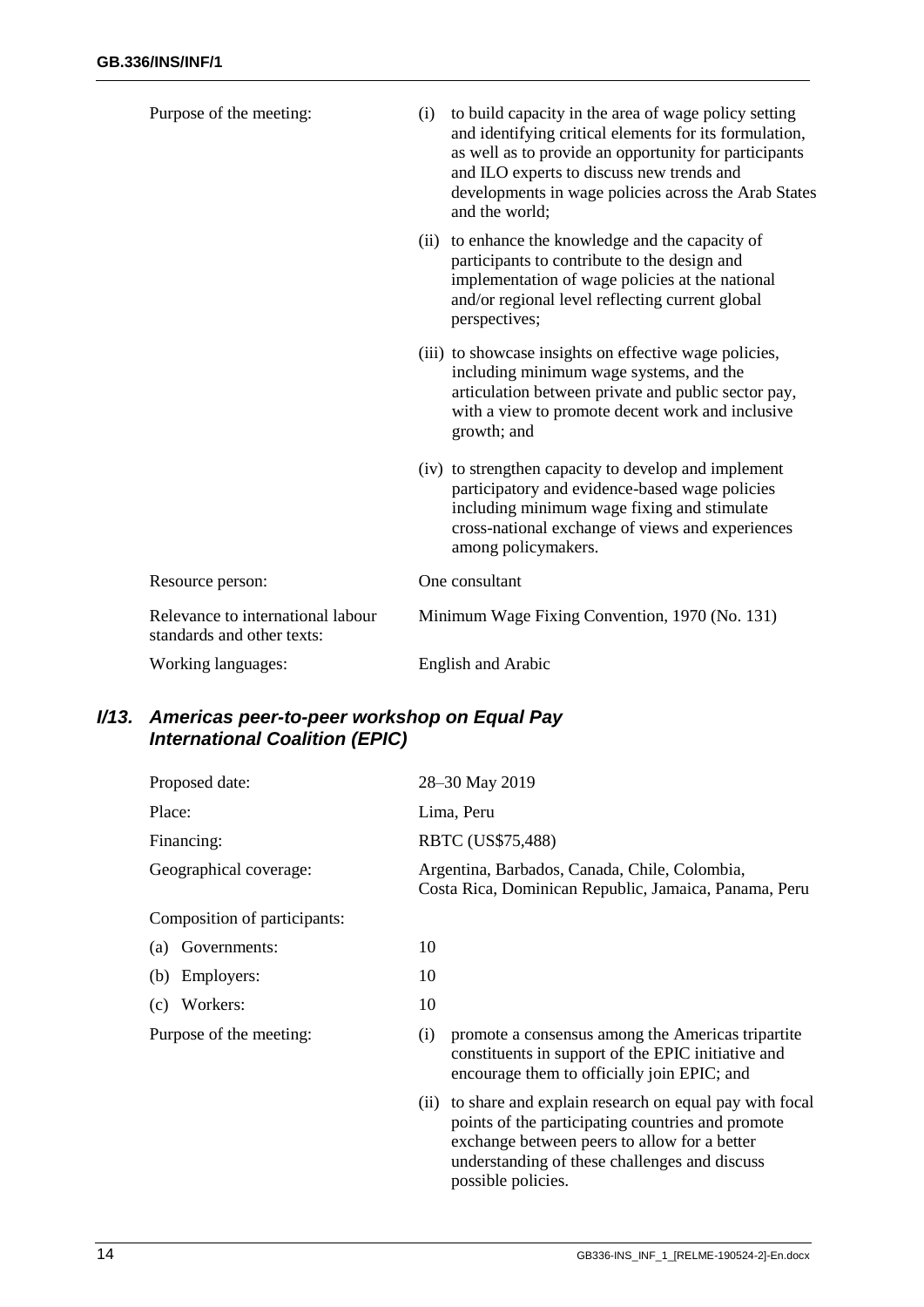| Purpose of the meeting:                                         | (i) | to build capacity in the area of wage policy setting<br>and identifying critical elements for its formulation,<br>as well as to provide an opportunity for participants<br>and ILO experts to discuss new trends and<br>developments in wage policies across the Arab States<br>and the world; |
|-----------------------------------------------------------------|-----|------------------------------------------------------------------------------------------------------------------------------------------------------------------------------------------------------------------------------------------------------------------------------------------------|
|                                                                 |     | (ii) to enhance the knowledge and the capacity of<br>participants to contribute to the design and<br>implementation of wage policies at the national<br>and/or regional level reflecting current global<br>perspectives;                                                                       |
|                                                                 |     | (iii) to showcase insights on effective wage policies,<br>including minimum wage systems, and the<br>articulation between private and public sector pay,<br>with a view to promote decent work and inclusive<br>growth; and                                                                    |
|                                                                 |     | (iv) to strengthen capacity to develop and implement<br>participatory and evidence-based wage policies<br>including minimum wage fixing and stimulate<br>cross-national exchange of views and experiences<br>among policymakers.                                                               |
| Resource person:                                                |     | One consultant                                                                                                                                                                                                                                                                                 |
| Relevance to international labour<br>standards and other texts: |     | Minimum Wage Fixing Convention, 1970 (No. 131)                                                                                                                                                                                                                                                 |
| Working languages:                                              |     | <b>English and Arabic</b>                                                                                                                                                                                                                                                                      |
|                                                                 |     |                                                                                                                                                                                                                                                                                                |

## <span id="page-15-0"></span>*I/13. Americas peer-to-peer workshop on Equal Pay International Coalition (EPIC)*

| Proposed date:               | 28-30 May 2019                                                                                                                                                |
|------------------------------|---------------------------------------------------------------------------------------------------------------------------------------------------------------|
| Place:                       | Lima, Peru                                                                                                                                                    |
| Financing:                   | RBTC (US\$75,488)                                                                                                                                             |
| Geographical coverage:       | Argentina, Barbados, Canada, Chile, Colombia,<br>Costa Rica, Dominican Republic, Jamaica, Panama, Peru                                                        |
| Composition of participants: |                                                                                                                                                               |
| (a) Governments:             | 10                                                                                                                                                            |
| (b) Employers:               | 10                                                                                                                                                            |
| (c) Workers:                 | 10                                                                                                                                                            |
| Purpose of the meeting:      | promote a consensus among the Americas tripartite<br>(i)<br>constituents in support of the EPIC initiative and<br>encourage them to officially join EPIC; and |

(ii) to share and explain research on equal pay with focal points of the participating countries and promote exchange between peers to allow for a better understanding of these challenges and discuss possible policies.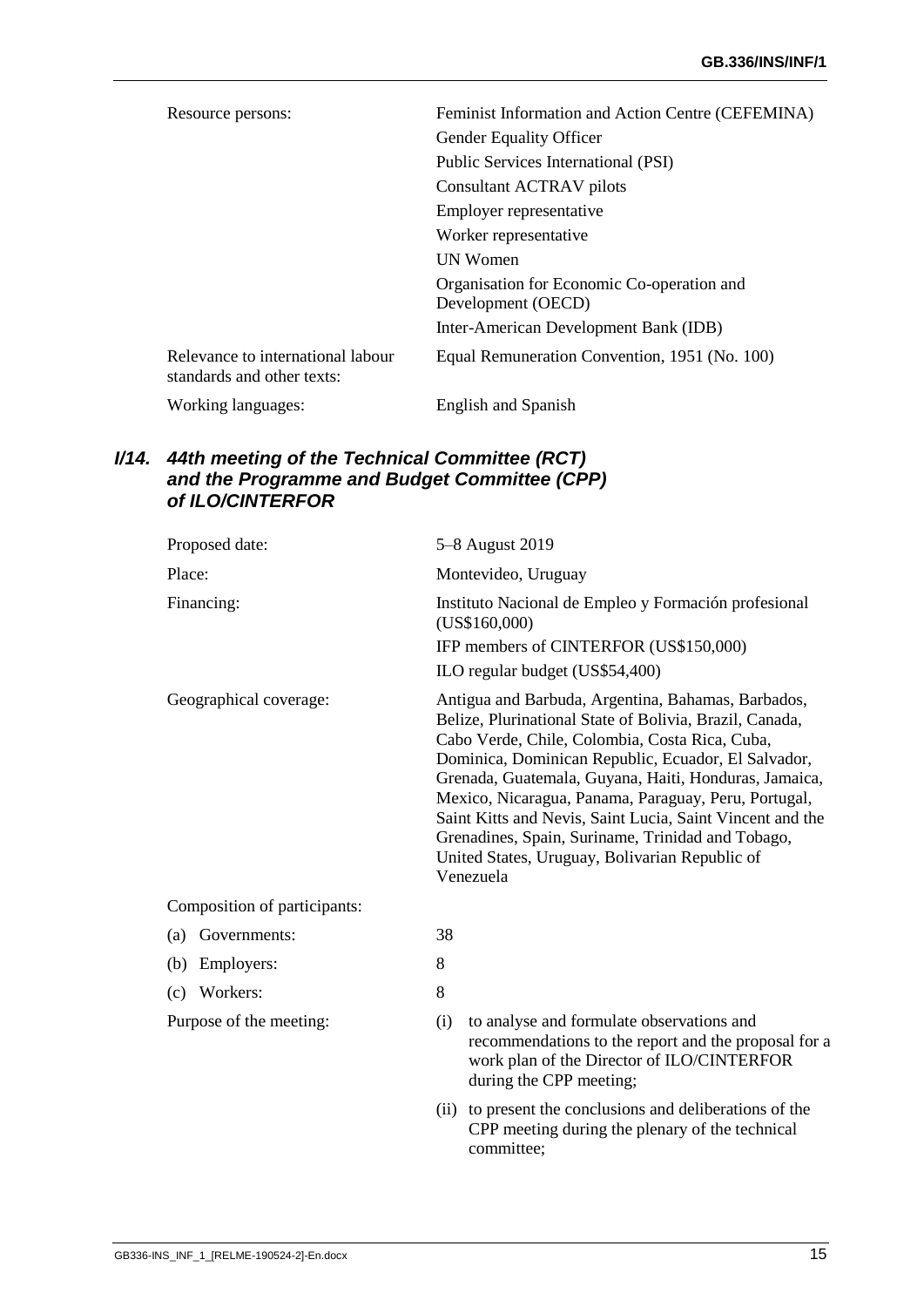| Resource persons:                                               | Feminist Information and Action Centre (CEFEMINA)                |
|-----------------------------------------------------------------|------------------------------------------------------------------|
|                                                                 | Gender Equality Officer                                          |
|                                                                 | Public Services International (PSI)                              |
|                                                                 | Consultant ACTRAV pilots                                         |
|                                                                 | Employer representative                                          |
|                                                                 | Worker representative                                            |
|                                                                 | <b>IJN Women</b>                                                 |
|                                                                 | Organisation for Economic Co-operation and<br>Development (OECD) |
|                                                                 | Inter-American Development Bank (IDB)                            |
| Relevance to international labour<br>standards and other texts: | Equal Remuneration Convention, 1951 (No. 100)                    |
| Working languages:                                              | English and Spanish                                              |

#### <span id="page-16-0"></span>*I/14. 44th meeting of the Technical Committee (RCT) and the Programme and Budget Committee (CPP) of ILO/CINTERFOR*

| Proposed date:               | 5-8 August 2019                                                                                                                                                                                                                                                                                                                                                                                                                                                                                                          |
|------------------------------|--------------------------------------------------------------------------------------------------------------------------------------------------------------------------------------------------------------------------------------------------------------------------------------------------------------------------------------------------------------------------------------------------------------------------------------------------------------------------------------------------------------------------|
| Place:                       | Montevideo, Uruguay                                                                                                                                                                                                                                                                                                                                                                                                                                                                                                      |
| Financing:                   | Instituto Nacional de Empleo y Formación profesional<br>(US\$160,000)                                                                                                                                                                                                                                                                                                                                                                                                                                                    |
|                              | IFP members of CINTERFOR (US\$150,000)                                                                                                                                                                                                                                                                                                                                                                                                                                                                                   |
|                              | ILO regular budget (US\$54,400)                                                                                                                                                                                                                                                                                                                                                                                                                                                                                          |
| Geographical coverage:       | Antigua and Barbuda, Argentina, Bahamas, Barbados,<br>Belize, Plurinational State of Bolivia, Brazil, Canada,<br>Cabo Verde, Chile, Colombia, Costa Rica, Cuba,<br>Dominica, Dominican Republic, Ecuador, El Salvador,<br>Grenada, Guatemala, Guyana, Haiti, Honduras, Jamaica,<br>Mexico, Nicaragua, Panama, Paraguay, Peru, Portugal,<br>Saint Kitts and Nevis, Saint Lucia, Saint Vincent and the<br>Grenadines, Spain, Suriname, Trinidad and Tobago,<br>United States, Uruguay, Bolivarian Republic of<br>Venezuela |
| Composition of participants: |                                                                                                                                                                                                                                                                                                                                                                                                                                                                                                                          |
| Governments:<br>(a)          | 38                                                                                                                                                                                                                                                                                                                                                                                                                                                                                                                       |
| Employers:<br>(b)            | 8                                                                                                                                                                                                                                                                                                                                                                                                                                                                                                                        |
| Workers:<br>(c)              | 8                                                                                                                                                                                                                                                                                                                                                                                                                                                                                                                        |
| Purpose of the meeting:      | to analyse and formulate observations and<br>(i)<br>recommendations to the report and the proposal for a<br>work plan of the Director of ILO/CINTERFOR<br>during the CPP meeting;                                                                                                                                                                                                                                                                                                                                        |
|                              | to present the conclusions and deliberations of the<br>(ii)<br>CPP meeting during the plenary of the technical<br>committee;                                                                                                                                                                                                                                                                                                                                                                                             |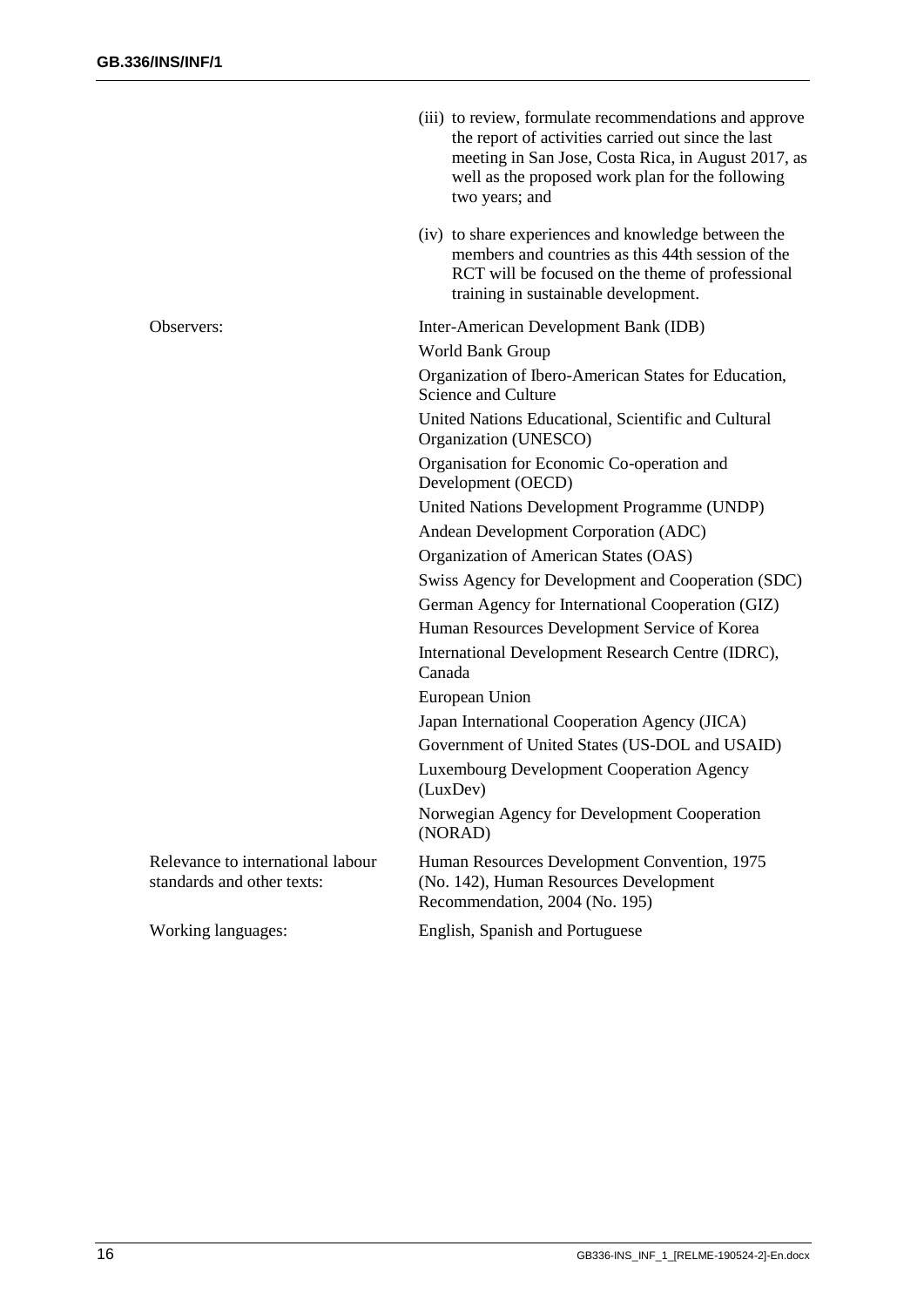|                                                                 | (iii) to review, formulate recommendations and approve<br>the report of activities carried out since the last<br>meeting in San Jose, Costa Rica, in August 2017, as<br>well as the proposed work plan for the following<br>two years; and |
|-----------------------------------------------------------------|--------------------------------------------------------------------------------------------------------------------------------------------------------------------------------------------------------------------------------------------|
|                                                                 | (iv) to share experiences and knowledge between the<br>members and countries as this 44th session of the<br>RCT will be focused on the theme of professional<br>training in sustainable development.                                       |
| Observers:                                                      | Inter-American Development Bank (IDB)                                                                                                                                                                                                      |
|                                                                 | World Bank Group                                                                                                                                                                                                                           |
|                                                                 | Organization of Ibero-American States for Education,<br>Science and Culture                                                                                                                                                                |
|                                                                 | United Nations Educational, Scientific and Cultural<br>Organization (UNESCO)                                                                                                                                                               |
|                                                                 | Organisation for Economic Co-operation and<br>Development (OECD)                                                                                                                                                                           |
|                                                                 | United Nations Development Programme (UNDP)                                                                                                                                                                                                |
|                                                                 | Andean Development Corporation (ADC)                                                                                                                                                                                                       |
|                                                                 | Organization of American States (OAS)                                                                                                                                                                                                      |
|                                                                 | Swiss Agency for Development and Cooperation (SDC)                                                                                                                                                                                         |
|                                                                 | German Agency for International Cooperation (GIZ)                                                                                                                                                                                          |
|                                                                 | Human Resources Development Service of Korea                                                                                                                                                                                               |
|                                                                 | International Development Research Centre (IDRC),<br>Canada                                                                                                                                                                                |
|                                                                 | European Union                                                                                                                                                                                                                             |
|                                                                 | Japan International Cooperation Agency (JICA)                                                                                                                                                                                              |
|                                                                 | Government of United States (US-DOL and USAID)                                                                                                                                                                                             |
|                                                                 | <b>Luxembourg Development Cooperation Agency</b><br>(LuxDev)                                                                                                                                                                               |
|                                                                 | Norwegian Agency for Development Cooperation<br>(NORAD)                                                                                                                                                                                    |
| Relevance to international labour<br>standards and other texts: | Human Resources Development Convention, 1975<br>(No. 142), Human Resources Development<br>Recommendation, 2004 (No. 195)                                                                                                                   |
| Working languages:                                              | English, Spanish and Portuguese                                                                                                                                                                                                            |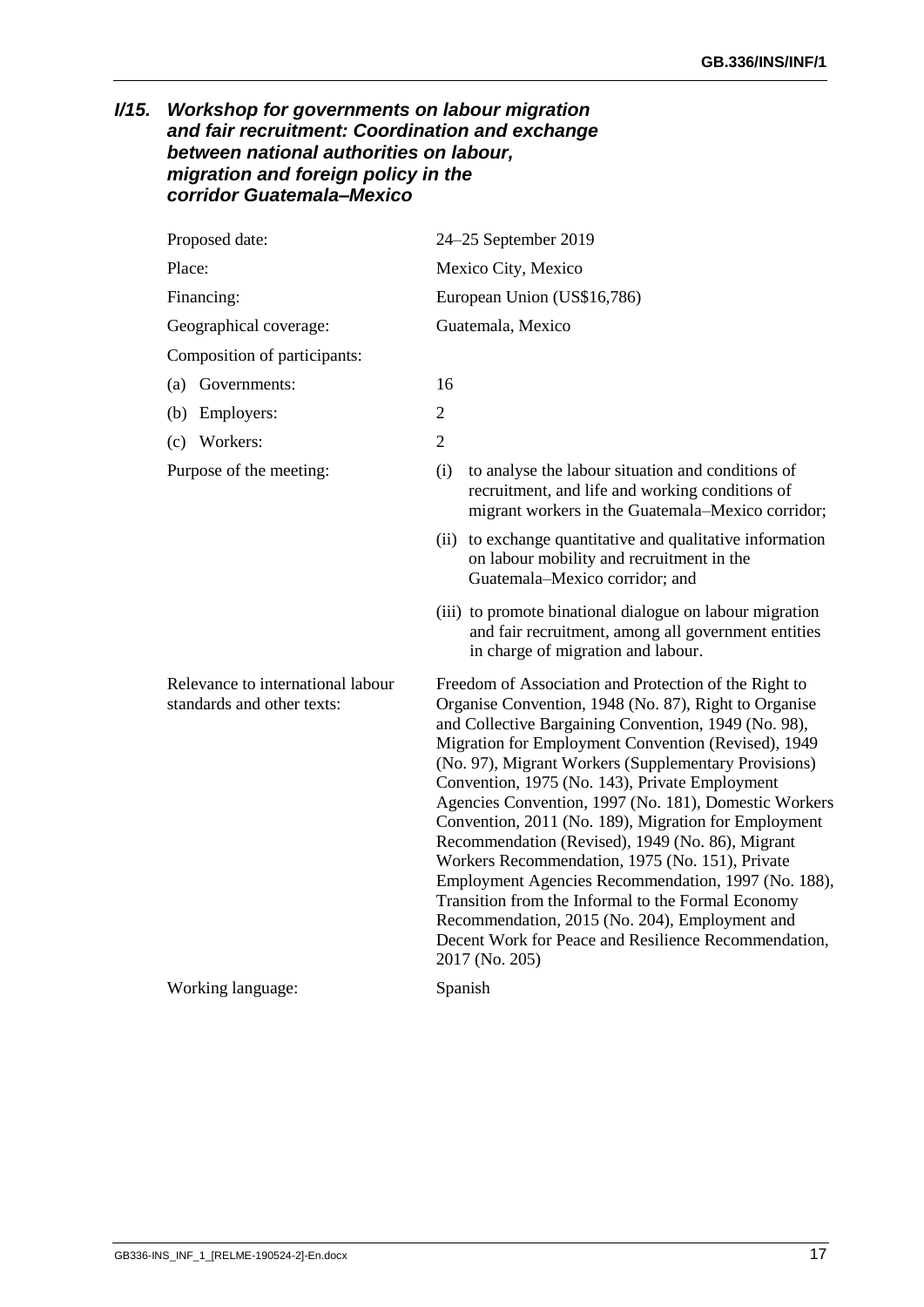### <span id="page-18-0"></span>*I/15. Workshop for governments on labour migration and fair recruitment: Coordination and exchange between national authorities on labour, migration and foreign policy in the corridor Guatemala–Mexico*

| Proposed date:                                                  | 24-25 September 2019                                                                                                                                                                                                                                                                                                                                                                                                                                                                                                                                                                                                                                                                                                                                                                                     |  |  |
|-----------------------------------------------------------------|----------------------------------------------------------------------------------------------------------------------------------------------------------------------------------------------------------------------------------------------------------------------------------------------------------------------------------------------------------------------------------------------------------------------------------------------------------------------------------------------------------------------------------------------------------------------------------------------------------------------------------------------------------------------------------------------------------------------------------------------------------------------------------------------------------|--|--|
| Place:                                                          | Mexico City, Mexico                                                                                                                                                                                                                                                                                                                                                                                                                                                                                                                                                                                                                                                                                                                                                                                      |  |  |
| Financing:                                                      | European Union (US\$16,786)                                                                                                                                                                                                                                                                                                                                                                                                                                                                                                                                                                                                                                                                                                                                                                              |  |  |
| Geographical coverage:                                          | Guatemala, Mexico                                                                                                                                                                                                                                                                                                                                                                                                                                                                                                                                                                                                                                                                                                                                                                                        |  |  |
| Composition of participants:                                    |                                                                                                                                                                                                                                                                                                                                                                                                                                                                                                                                                                                                                                                                                                                                                                                                          |  |  |
| (a) Governments:                                                | 16                                                                                                                                                                                                                                                                                                                                                                                                                                                                                                                                                                                                                                                                                                                                                                                                       |  |  |
| Employers:<br>(b)                                               | $\overline{2}$                                                                                                                                                                                                                                                                                                                                                                                                                                                                                                                                                                                                                                                                                                                                                                                           |  |  |
| (c) Workers:                                                    | $\overline{2}$                                                                                                                                                                                                                                                                                                                                                                                                                                                                                                                                                                                                                                                                                                                                                                                           |  |  |
| Purpose of the meeting:                                         | to analyse the labour situation and conditions of<br>(i)<br>recruitment, and life and working conditions of<br>migrant workers in the Guatemala-Mexico corridor;                                                                                                                                                                                                                                                                                                                                                                                                                                                                                                                                                                                                                                         |  |  |
|                                                                 | to exchange quantitative and qualitative information<br>(ii)<br>on labour mobility and recruitment in the<br>Guatemala-Mexico corridor; and                                                                                                                                                                                                                                                                                                                                                                                                                                                                                                                                                                                                                                                              |  |  |
|                                                                 | (iii) to promote binational dialogue on labour migration<br>and fair recruitment, among all government entities<br>in charge of migration and labour.                                                                                                                                                                                                                                                                                                                                                                                                                                                                                                                                                                                                                                                    |  |  |
| Relevance to international labour<br>standards and other texts: | Freedom of Association and Protection of the Right to<br>Organise Convention, 1948 (No. 87), Right to Organise<br>and Collective Bargaining Convention, 1949 (No. 98),<br>Migration for Employment Convention (Revised), 1949<br>(No. 97), Migrant Workers (Supplementary Provisions)<br>Convention, 1975 (No. 143), Private Employment<br>Agencies Convention, 1997 (No. 181), Domestic Workers<br>Convention, 2011 (No. 189), Migration for Employment<br>Recommendation (Revised), 1949 (No. 86), Migrant<br>Workers Recommendation, 1975 (No. 151), Private<br>Employment Agencies Recommendation, 1997 (No. 188),<br>Transition from the Informal to the Formal Economy<br>Recommendation, 2015 (No. 204), Employment and<br>Decent Work for Peace and Resilience Recommendation,<br>2017 (No. 205) |  |  |

Working language: Spanish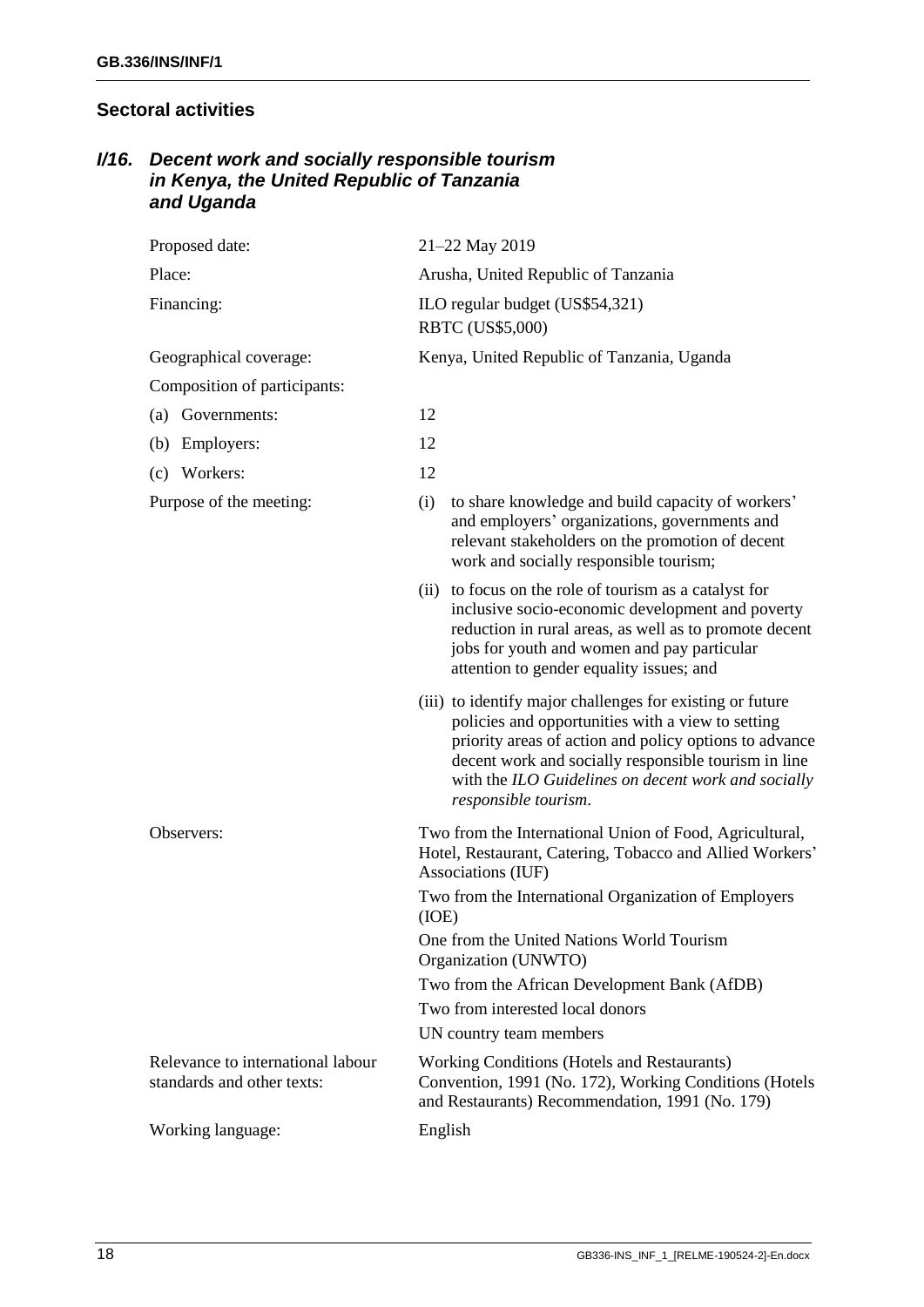### <span id="page-19-0"></span>**Sectoral activities**

### <span id="page-19-1"></span>*I/16. Decent work and socially responsible tourism in Kenya, the United Republic of Tanzania and Uganda*

| Proposed date:                                                  | 21-22 May 2019                                                                                                                                                                                                                                                                                                  |  |  |
|-----------------------------------------------------------------|-----------------------------------------------------------------------------------------------------------------------------------------------------------------------------------------------------------------------------------------------------------------------------------------------------------------|--|--|
| Place:                                                          | Arusha, United Republic of Tanzania                                                                                                                                                                                                                                                                             |  |  |
| Financing:                                                      | ILO regular budget (US\$54,321)<br>RBTC (US\$5,000)                                                                                                                                                                                                                                                             |  |  |
| Geographical coverage:                                          | Kenya, United Republic of Tanzania, Uganda                                                                                                                                                                                                                                                                      |  |  |
| Composition of participants:                                    |                                                                                                                                                                                                                                                                                                                 |  |  |
| Governments:<br>(a)                                             | 12                                                                                                                                                                                                                                                                                                              |  |  |
| Employers:<br>(b)                                               | 12                                                                                                                                                                                                                                                                                                              |  |  |
| (c) Workers:                                                    | 12                                                                                                                                                                                                                                                                                                              |  |  |
| Purpose of the meeting:                                         | to share knowledge and build capacity of workers'<br>(i)<br>and employers' organizations, governments and<br>relevant stakeholders on the promotion of decent<br>work and socially responsible tourism;                                                                                                         |  |  |
|                                                                 | (ii) to focus on the role of tourism as a catalyst for<br>inclusive socio-economic development and poverty<br>reduction in rural areas, as well as to promote decent<br>jobs for youth and women and pay particular<br>attention to gender equality issues; and                                                 |  |  |
|                                                                 | (iii) to identify major challenges for existing or future<br>policies and opportunities with a view to setting<br>priority areas of action and policy options to advance<br>decent work and socially responsible tourism in line<br>with the ILO Guidelines on decent work and socially<br>responsible tourism. |  |  |
| Observers:                                                      | Two from the International Union of Food, Agricultural,<br>Hotel, Restaurant, Catering, Tobacco and Allied Workers'<br>Associations (IUF)                                                                                                                                                                       |  |  |
|                                                                 | Two from the International Organization of Employers<br>(IOE)                                                                                                                                                                                                                                                   |  |  |
|                                                                 | One from the United Nations World Tourism<br>Organization (UNWTO)                                                                                                                                                                                                                                               |  |  |
|                                                                 | Two from the African Development Bank (AfDB)                                                                                                                                                                                                                                                                    |  |  |
|                                                                 | Two from interested local donors                                                                                                                                                                                                                                                                                |  |  |
|                                                                 | UN country team members                                                                                                                                                                                                                                                                                         |  |  |
| Relevance to international labour<br>standards and other texts: | Working Conditions (Hotels and Restaurants)<br>Convention, 1991 (No. 172), Working Conditions (Hotels<br>and Restaurants) Recommendation, 1991 (No. 179)                                                                                                                                                        |  |  |
| Working language:                                               | English                                                                                                                                                                                                                                                                                                         |  |  |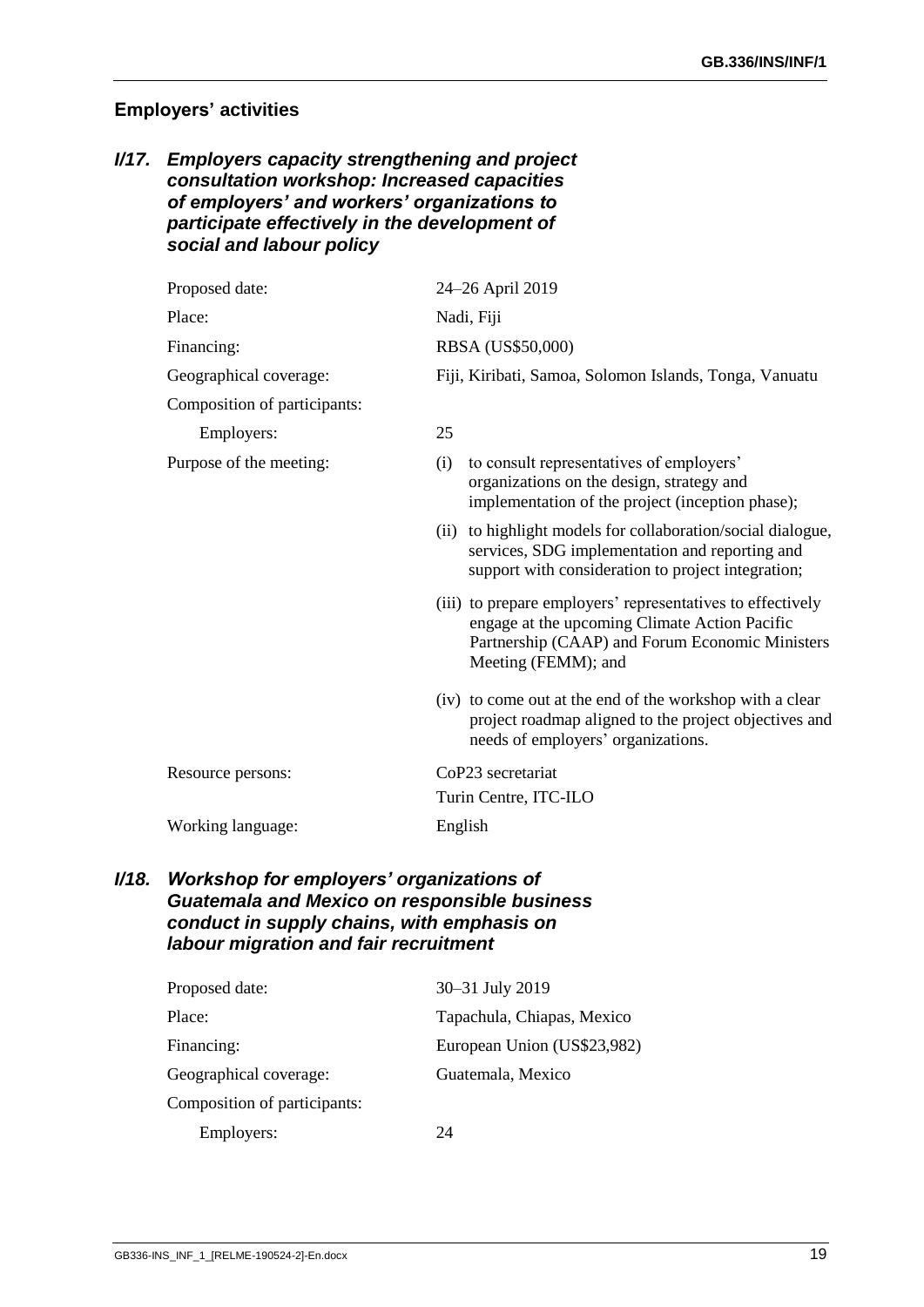#### <span id="page-20-0"></span>**Employers' activities**

#### <span id="page-20-1"></span>*I/17. Employers capacity strengthening and project consultation workshop: Increased capacities of employers' and workers' organizations to participate effectively in the development of social and labour policy*

| Proposed date:               | 24-26 April 2019                                                                                                                                                                      |  |  |
|------------------------------|---------------------------------------------------------------------------------------------------------------------------------------------------------------------------------------|--|--|
| Place:                       | Nadi, Fiji                                                                                                                                                                            |  |  |
| Financing:                   | RBSA (US\$50,000)                                                                                                                                                                     |  |  |
| Geographical coverage:       | Fiji, Kiribati, Samoa, Solomon Islands, Tonga, Vanuatu                                                                                                                                |  |  |
| Composition of participants: |                                                                                                                                                                                       |  |  |
| Employers:                   | 25                                                                                                                                                                                    |  |  |
| Purpose of the meeting:      | to consult representatives of employers'<br>(i)<br>organizations on the design, strategy and<br>implementation of the project (inception phase);                                      |  |  |
|                              | (ii) to highlight models for collaboration/social dialogue,<br>services, SDG implementation and reporting and<br>support with consideration to project integration;                   |  |  |
|                              | (iii) to prepare employers' representatives to effectively<br>engage at the upcoming Climate Action Pacific<br>Partnership (CAAP) and Forum Economic Ministers<br>Meeting (FEMM); and |  |  |
|                              | (iv) to come out at the end of the workshop with a clear<br>project roadmap aligned to the project objectives and<br>needs of employers' organizations.                               |  |  |
| Resource persons:            | CoP23 secretariat                                                                                                                                                                     |  |  |
|                              | Turin Centre, ITC-ILO                                                                                                                                                                 |  |  |
| Working language:            | English                                                                                                                                                                               |  |  |

#### <span id="page-20-2"></span>*I/18. Workshop for employers' organizations of Guatemala and Mexico on responsible business conduct in supply chains, with emphasis on labour migration and fair recruitment*

| Proposed date:               | 30-31 July 2019             |
|------------------------------|-----------------------------|
| Place:                       | Tapachula, Chiapas, Mexico  |
| Financing:                   | European Union (US\$23,982) |
| Geographical coverage:       | Guatemala, Mexico           |
| Composition of participants: |                             |
| Employers:                   | 24                          |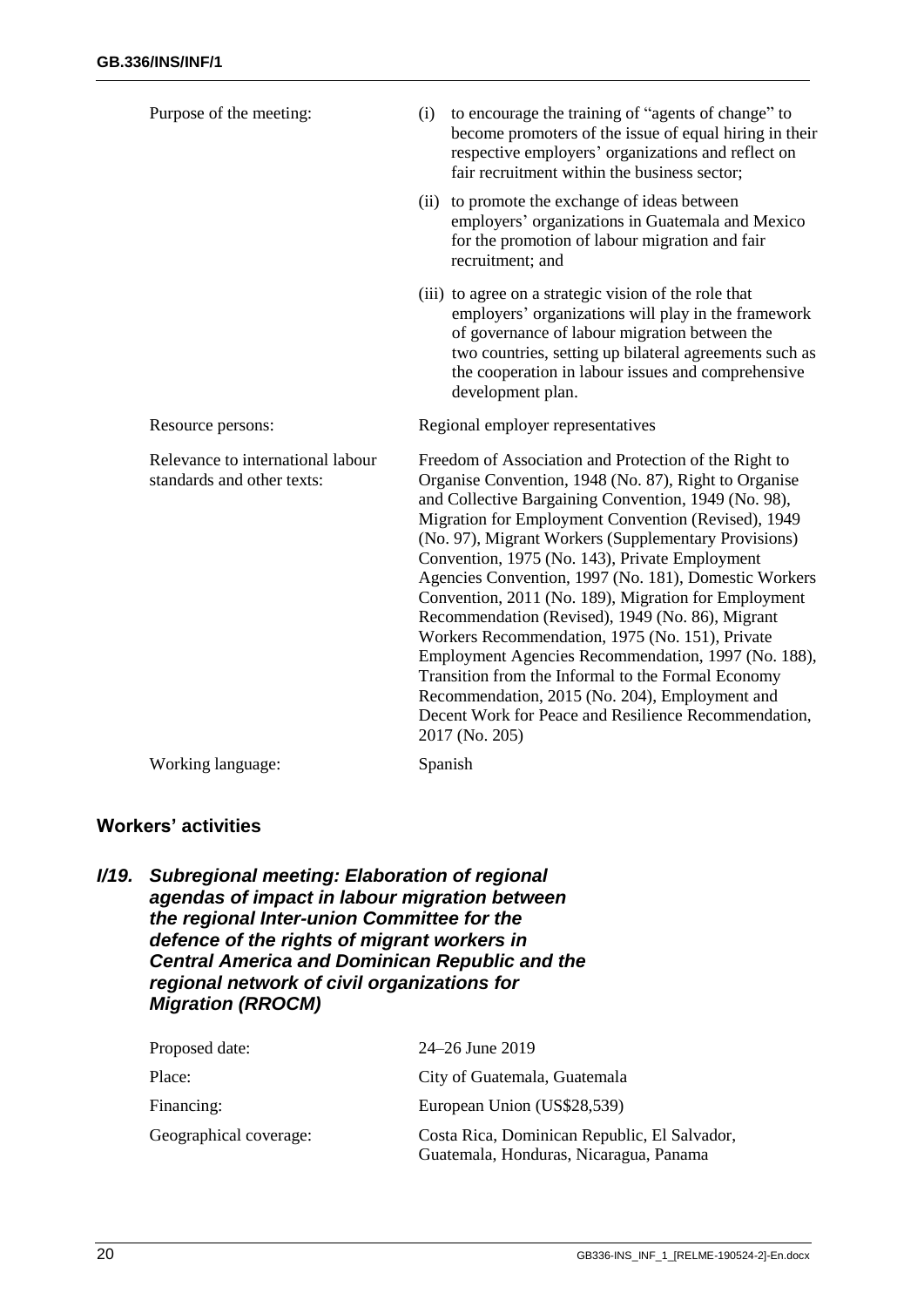| Purpose of the meeting:                                         | (i)  | to encourage the training of "agents of change" to<br>become promoters of the issue of equal hiring in their<br>respective employers' organizations and reflect on<br>fair recruitment within the business sector;                                                                                                                                                                                                                                                                                                                                                                                                                                                                                                                                                                                       |
|-----------------------------------------------------------------|------|----------------------------------------------------------------------------------------------------------------------------------------------------------------------------------------------------------------------------------------------------------------------------------------------------------------------------------------------------------------------------------------------------------------------------------------------------------------------------------------------------------------------------------------------------------------------------------------------------------------------------------------------------------------------------------------------------------------------------------------------------------------------------------------------------------|
|                                                                 | (ii) | to promote the exchange of ideas between<br>employers' organizations in Guatemala and Mexico<br>for the promotion of labour migration and fair<br>recruitment; and                                                                                                                                                                                                                                                                                                                                                                                                                                                                                                                                                                                                                                       |
|                                                                 |      | (iii) to agree on a strategic vision of the role that<br>employers' organizations will play in the framework<br>of governance of labour migration between the<br>two countries, setting up bilateral agreements such as<br>the cooperation in labour issues and comprehensive<br>development plan.                                                                                                                                                                                                                                                                                                                                                                                                                                                                                                       |
| Resource persons:                                               |      | Regional employer representatives                                                                                                                                                                                                                                                                                                                                                                                                                                                                                                                                                                                                                                                                                                                                                                        |
| Relevance to international labour<br>standards and other texts: |      | Freedom of Association and Protection of the Right to<br>Organise Convention, 1948 (No. 87), Right to Organise<br>and Collective Bargaining Convention, 1949 (No. 98),<br>Migration for Employment Convention (Revised), 1949<br>(No. 97), Migrant Workers (Supplementary Provisions)<br>Convention, 1975 (No. 143), Private Employment<br>Agencies Convention, 1997 (No. 181), Domestic Workers<br>Convention, 2011 (No. 189), Migration for Employment<br>Recommendation (Revised), 1949 (No. 86), Migrant<br>Workers Recommendation, 1975 (No. 151), Private<br>Employment Agencies Recommendation, 1997 (No. 188),<br>Transition from the Informal to the Formal Economy<br>Recommendation, 2015 (No. 204), Employment and<br>Decent Work for Peace and Resilience Recommendation,<br>2017 (No. 205) |
| Working language:                                               |      | Spanish                                                                                                                                                                                                                                                                                                                                                                                                                                                                                                                                                                                                                                                                                                                                                                                                  |

## <span id="page-21-0"></span>**Workers' activities**

<span id="page-21-1"></span>

|  | I/19. Subregional meeting: Elaboration of regional    |
|--|-------------------------------------------------------|
|  | agendas of impact in labour migration between         |
|  | the regional Inter-union Committee for the            |
|  | defence of the rights of migrant workers in           |
|  | <b>Central America and Dominican Republic and the</b> |
|  | regional network of civil organizations for           |
|  | <b>Migration (RROCM)</b>                              |
|  |                                                       |

| Proposed date:         | 24–26 June 2019                                                                        |
|------------------------|----------------------------------------------------------------------------------------|
| Place:                 | City of Guatemala, Guatemala                                                           |
| Financing:             | European Union (US\$28,539)                                                            |
| Geographical coverage: | Costa Rica, Dominican Republic, El Salvador,<br>Guatemala, Honduras, Nicaragua, Panama |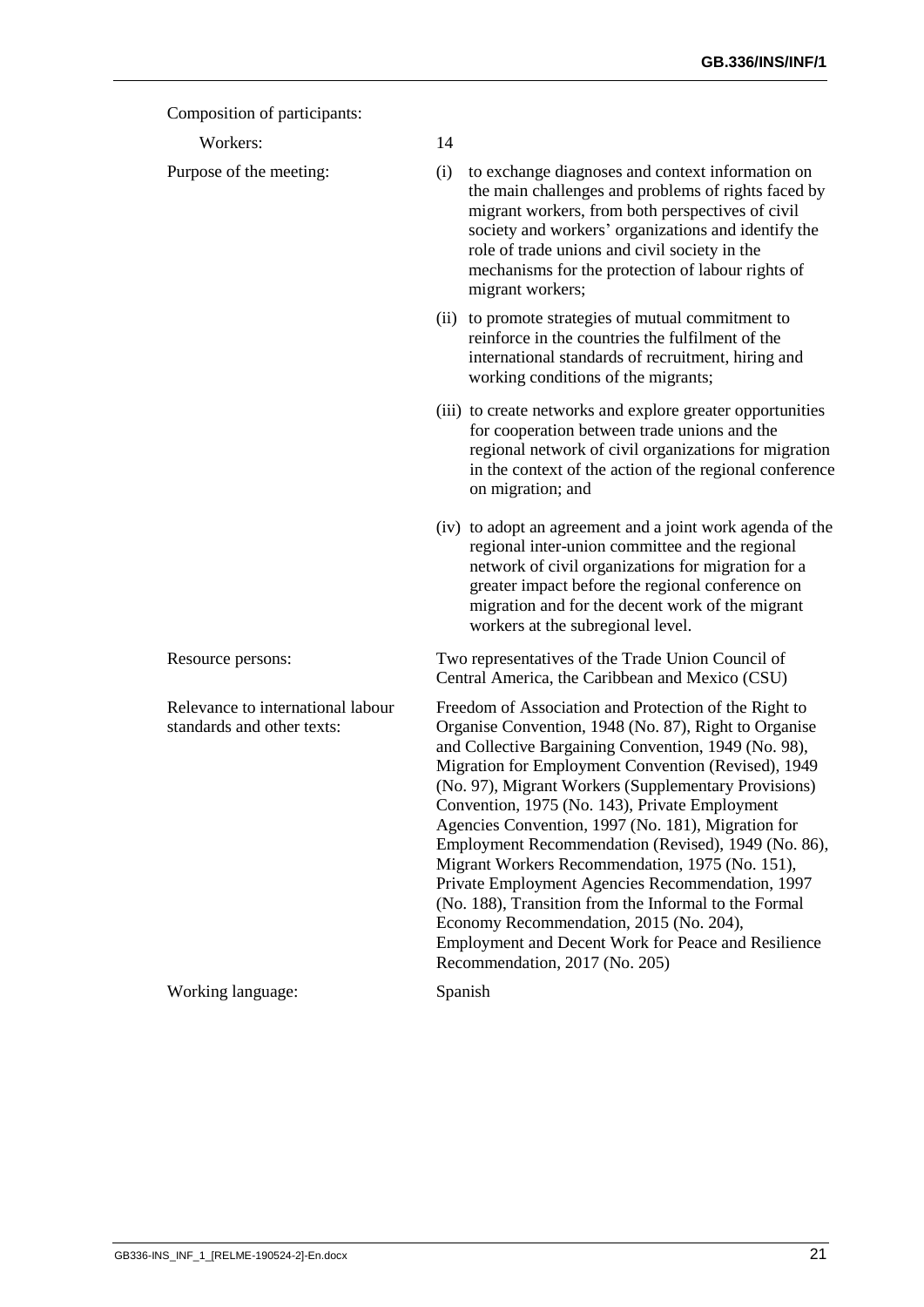| Composition of participants.                                    |                                                                                                                                                                                                                                                                                                                                                                                                                                                                                                                                                                                                                                                                                                                                                          |  |
|-----------------------------------------------------------------|----------------------------------------------------------------------------------------------------------------------------------------------------------------------------------------------------------------------------------------------------------------------------------------------------------------------------------------------------------------------------------------------------------------------------------------------------------------------------------------------------------------------------------------------------------------------------------------------------------------------------------------------------------------------------------------------------------------------------------------------------------|--|
| Workers:                                                        | 14                                                                                                                                                                                                                                                                                                                                                                                                                                                                                                                                                                                                                                                                                                                                                       |  |
| Purpose of the meeting:                                         | (i)<br>to exchange diagnoses and context information on<br>the main challenges and problems of rights faced by<br>migrant workers, from both perspectives of civil<br>society and workers' organizations and identify the<br>role of trade unions and civil society in the<br>mechanisms for the protection of labour rights of<br>migrant workers;                                                                                                                                                                                                                                                                                                                                                                                                      |  |
|                                                                 | (ii) to promote strategies of mutual commitment to<br>reinforce in the countries the fulfilment of the<br>international standards of recruitment, hiring and<br>working conditions of the migrants;                                                                                                                                                                                                                                                                                                                                                                                                                                                                                                                                                      |  |
|                                                                 | (iii) to create networks and explore greater opportunities<br>for cooperation between trade unions and the<br>regional network of civil organizations for migration<br>in the context of the action of the regional conference<br>on migration; and                                                                                                                                                                                                                                                                                                                                                                                                                                                                                                      |  |
|                                                                 | (iv) to adopt an agreement and a joint work agenda of the<br>regional inter-union committee and the regional<br>network of civil organizations for migration for a<br>greater impact before the regional conference on<br>migration and for the decent work of the migrant<br>workers at the subregional level.                                                                                                                                                                                                                                                                                                                                                                                                                                          |  |
| Resource persons:                                               | Two representatives of the Trade Union Council of<br>Central America, the Caribbean and Mexico (CSU)                                                                                                                                                                                                                                                                                                                                                                                                                                                                                                                                                                                                                                                     |  |
| Relevance to international labour<br>standards and other texts: | Freedom of Association and Protection of the Right to<br>Organise Convention, 1948 (No. 87), Right to Organise<br>and Collective Bargaining Convention, 1949 (No. 98),<br>Migration for Employment Convention (Revised), 1949<br>(No. 97), Migrant Workers (Supplementary Provisions)<br>Convention, 1975 (No. 143), Private Employment<br>Agencies Convention, 1997 (No. 181), Migration for<br>Employment Recommendation (Revised), 1949 (No. 86),<br>Migrant Workers Recommendation, 1975 (No. 151),<br>Private Employment Agencies Recommendation, 1997<br>(No. 188), Transition from the Informal to the Formal<br>Economy Recommendation, 2015 (No. 204),<br>Employment and Decent Work for Peace and Resilience<br>Recommendation, 2017 (No. 205) |  |
| Working language:                                               | Spanish                                                                                                                                                                                                                                                                                                                                                                                                                                                                                                                                                                                                                                                                                                                                                  |  |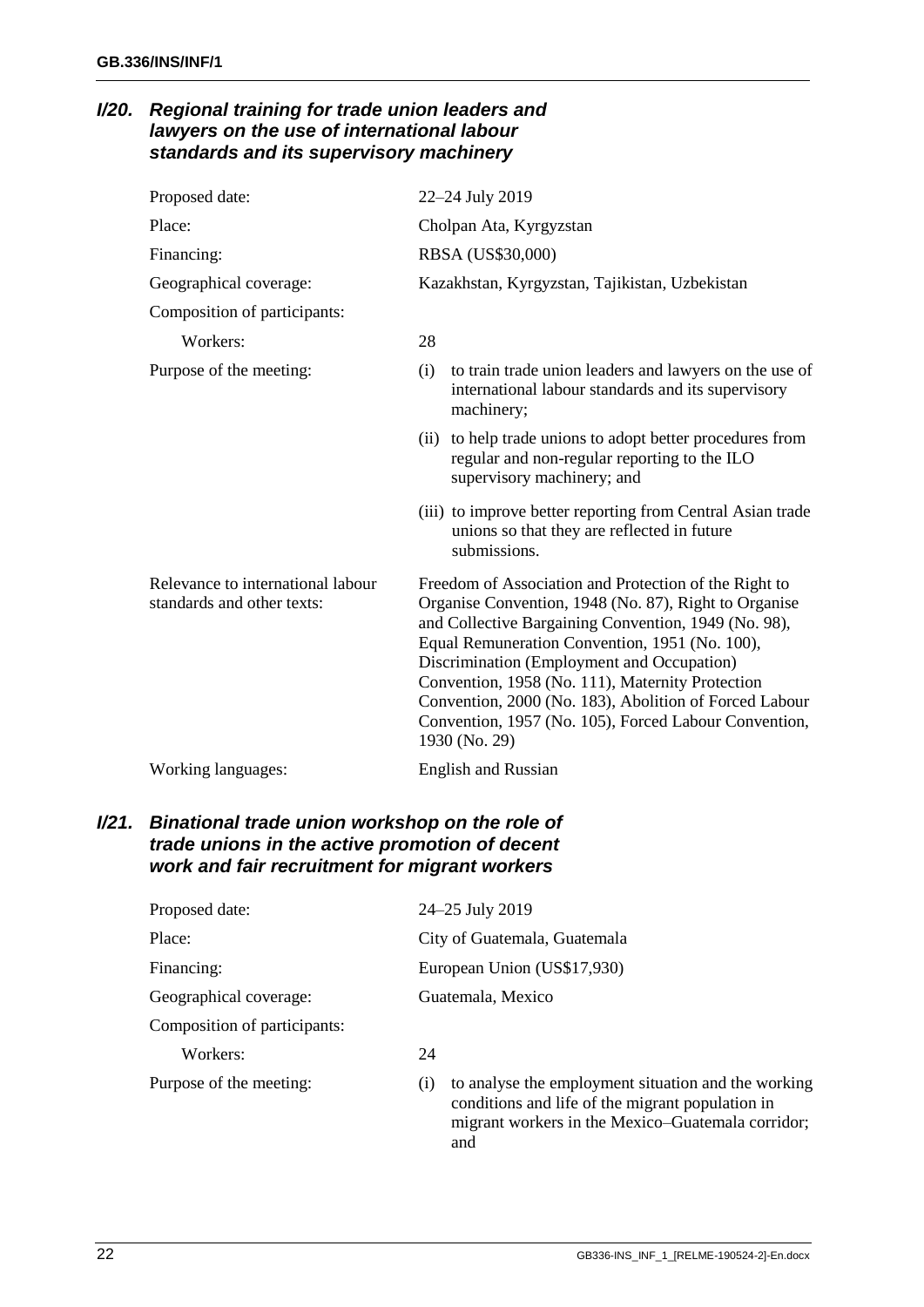### <span id="page-23-0"></span>*I/20. Regional training for trade union leaders and lawyers on the use of international labour standards and its supervisory machinery*

| Proposed date:                                                  | 22-24 July 2019                                                                                                                                                                                                                                                                                                                                                                                                                                                |
|-----------------------------------------------------------------|----------------------------------------------------------------------------------------------------------------------------------------------------------------------------------------------------------------------------------------------------------------------------------------------------------------------------------------------------------------------------------------------------------------------------------------------------------------|
| Place:                                                          | Cholpan Ata, Kyrgyzstan                                                                                                                                                                                                                                                                                                                                                                                                                                        |
| Financing:                                                      | RBSA (US\$30,000)                                                                                                                                                                                                                                                                                                                                                                                                                                              |
| Geographical coverage:                                          | Kazakhstan, Kyrgyzstan, Tajikistan, Uzbekistan                                                                                                                                                                                                                                                                                                                                                                                                                 |
| Composition of participants:                                    |                                                                                                                                                                                                                                                                                                                                                                                                                                                                |
| Workers:                                                        | 28                                                                                                                                                                                                                                                                                                                                                                                                                                                             |
| Purpose of the meeting:                                         | to train trade union leaders and lawyers on the use of<br>(i)<br>international labour standards and its supervisory<br>machinery;                                                                                                                                                                                                                                                                                                                              |
|                                                                 | (ii) to help trade unions to adopt better procedures from<br>regular and non-regular reporting to the ILO<br>supervisory machinery; and                                                                                                                                                                                                                                                                                                                        |
|                                                                 | (iii) to improve better reporting from Central Asian trade<br>unions so that they are reflected in future<br>submissions.                                                                                                                                                                                                                                                                                                                                      |
| Relevance to international labour<br>standards and other texts: | Freedom of Association and Protection of the Right to<br>Organise Convention, 1948 (No. 87), Right to Organise<br>and Collective Bargaining Convention, 1949 (No. 98),<br>Equal Remuneration Convention, 1951 (No. 100),<br>Discrimination (Employment and Occupation)<br>Convention, 1958 (No. 111), Maternity Protection<br>Convention, 2000 (No. 183), Abolition of Forced Labour<br>Convention, 1957 (No. 105), Forced Labour Convention,<br>1930 (No. 29) |
| Working languages:                                              | <b>English and Russian</b>                                                                                                                                                                                                                                                                                                                                                                                                                                     |

### <span id="page-23-1"></span>*I/21. Binational trade union workshop on the role of trade unions in the active promotion of decent work and fair recruitment for migrant workers*

| Proposed date:               | 24-25 July 2019                                                                                                |  |
|------------------------------|----------------------------------------------------------------------------------------------------------------|--|
| Place:                       | City of Guatemala, Guatemala                                                                                   |  |
| Financing:                   | European Union (US\$17,930)                                                                                    |  |
| Geographical coverage:       | Guatemala, Mexico                                                                                              |  |
| Composition of participants: |                                                                                                                |  |
| Workers:                     | 24                                                                                                             |  |
| Purpose of the meeting:      | to analyse the employment situation and the working<br>(1)<br>conditions and life of the migrant population in |  |

and

migrant workers in the Mexico–Guatemala corridor;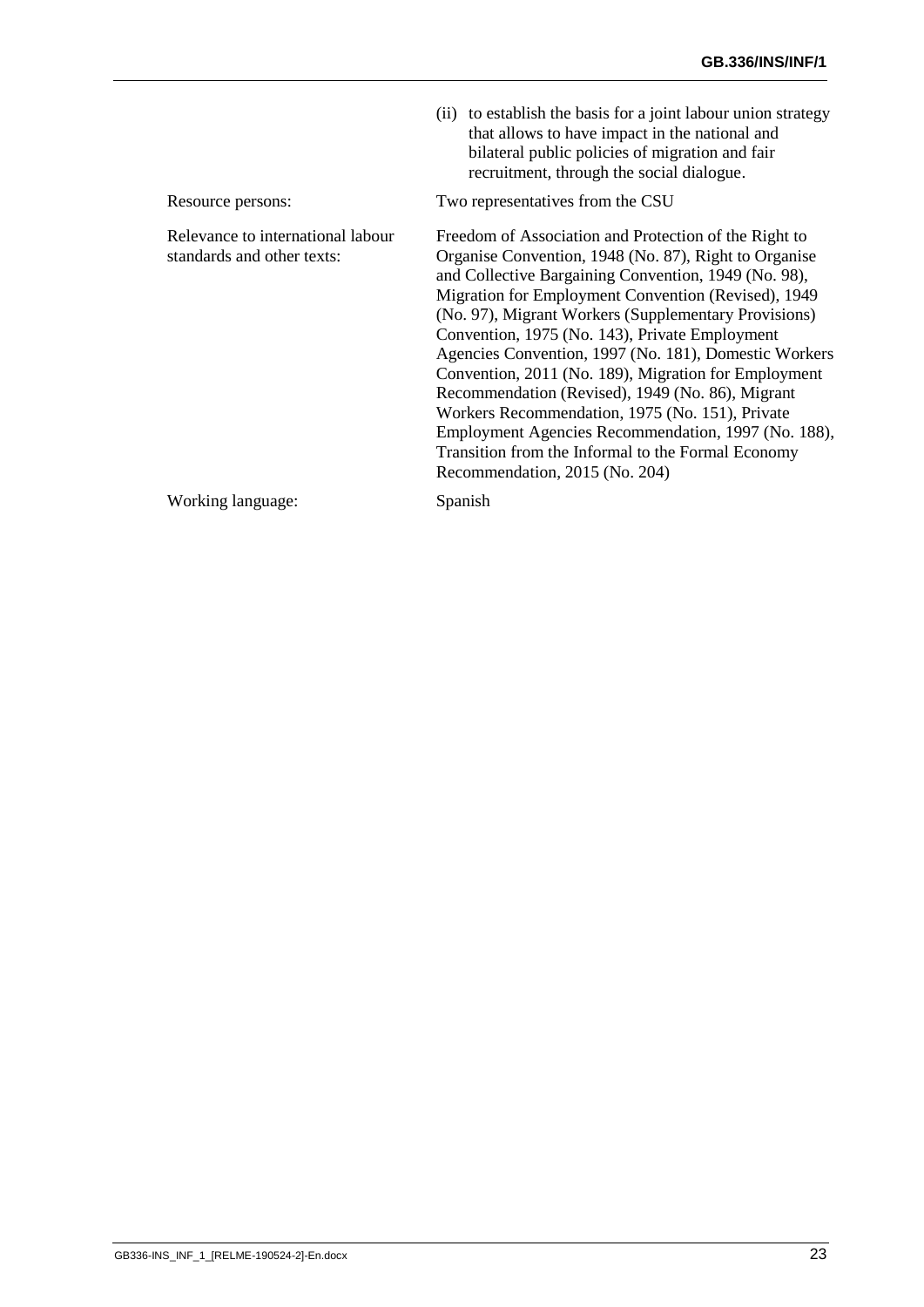|                                                                 | (ii) to establish the basis for a joint labour union strategy<br>that allows to have impact in the national and<br>bilateral public policies of migration and fair<br>recruitment, through the social dialogue.                                                                                                                                                                                                                                                                                                                                                                                                                                                                                                |
|-----------------------------------------------------------------|----------------------------------------------------------------------------------------------------------------------------------------------------------------------------------------------------------------------------------------------------------------------------------------------------------------------------------------------------------------------------------------------------------------------------------------------------------------------------------------------------------------------------------------------------------------------------------------------------------------------------------------------------------------------------------------------------------------|
| Resource persons:                                               | Two representatives from the CSU                                                                                                                                                                                                                                                                                                                                                                                                                                                                                                                                                                                                                                                                               |
| Relevance to international labour<br>standards and other texts: | Freedom of Association and Protection of the Right to<br>Organise Convention, 1948 (No. 87), Right to Organise<br>and Collective Bargaining Convention, 1949 (No. 98),<br>Migration for Employment Convention (Revised), 1949<br>(No. 97), Migrant Workers (Supplementary Provisions)<br>Convention, 1975 (No. 143), Private Employment<br>Agencies Convention, 1997 (No. 181), Domestic Workers<br>Convention, 2011 (No. 189), Migration for Employment<br>Recommendation (Revised), 1949 (No. 86), Migrant<br>Workers Recommendation, 1975 (No. 151), Private<br>Employment Agencies Recommendation, 1997 (No. 188),<br>Transition from the Informal to the Formal Economy<br>Recommendation, 2015 (No. 204) |
| Working language:                                               | Spanish                                                                                                                                                                                                                                                                                                                                                                                                                                                                                                                                                                                                                                                                                                        |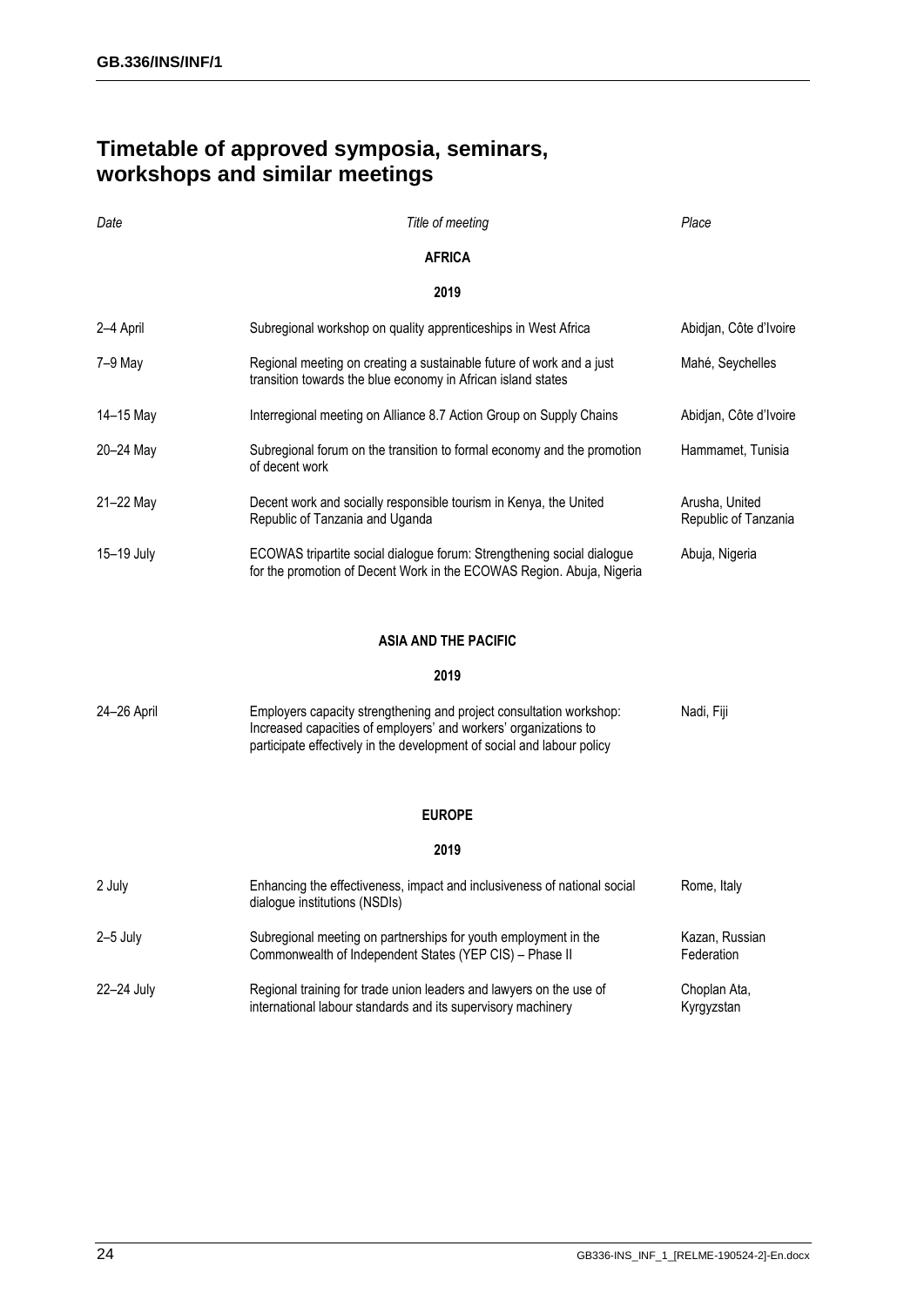## <span id="page-25-0"></span>**Timetable of approved symposia, seminars, workshops and similar meetings**

| Date        | Title of meeting                                                                                                                                                                                                  | Place                                  |  |  |
|-------------|-------------------------------------------------------------------------------------------------------------------------------------------------------------------------------------------------------------------|----------------------------------------|--|--|
|             | <b>AFRICA</b>                                                                                                                                                                                                     |                                        |  |  |
| 2019        |                                                                                                                                                                                                                   |                                        |  |  |
| 2-4 April   | Subregional workshop on quality apprenticeships in West Africa                                                                                                                                                    | Abidjan, Côte d'Ivoire                 |  |  |
| 7-9 May     | Regional meeting on creating a sustainable future of work and a just<br>transition towards the blue economy in African island states                                                                              | Mahé, Seychelles                       |  |  |
| 14-15 May   | Interregional meeting on Alliance 8.7 Action Group on Supply Chains                                                                                                                                               | Abidjan, Côte d'Ivoire                 |  |  |
| 20–24 May   | Subregional forum on the transition to formal economy and the promotion<br>of decent work                                                                                                                         | Hammamet, Tunisia                      |  |  |
| 21-22 May   | Decent work and socially responsible tourism in Kenya, the United<br>Republic of Tanzania and Uganda                                                                                                              | Arusha, United<br>Republic of Tanzania |  |  |
| 15-19 July  | ECOWAS tripartite social dialogue forum: Strengthening social dialogue<br>for the promotion of Decent Work in the ECOWAS Region. Abuja, Nigeria                                                                   | Abuja, Nigeria                         |  |  |
|             | <b>ASIA AND THE PACIFIC</b>                                                                                                                                                                                       |                                        |  |  |
|             | 2019                                                                                                                                                                                                              |                                        |  |  |
| 24-26 April | Employers capacity strengthening and project consultation workshop:<br>Increased capacities of employers' and workers' organizations to<br>participate effectively in the development of social and labour policy | Nadi, Fiji                             |  |  |
|             | <b>EUROPE</b>                                                                                                                                                                                                     |                                        |  |  |
|             | 2019                                                                                                                                                                                                              |                                        |  |  |
| 2 July      | Enhancing the effectiveness, impact and inclusiveness of national social<br>dialogue institutions (NSDIs)                                                                                                         | Rome, Italy                            |  |  |
| $2-5$ July  | Subregional meeting on partnerships for youth employment in the<br>Commonwealth of Independent States (YEP CIS) - Phase II                                                                                        | Kazan, Russian<br>Federation           |  |  |
| 22-24 July  | Regional training for trade union leaders and lawyers on the use of<br>international labour standards and its supervisory machinery                                                                               | Choplan Ata,<br>Kyrgyzstan             |  |  |